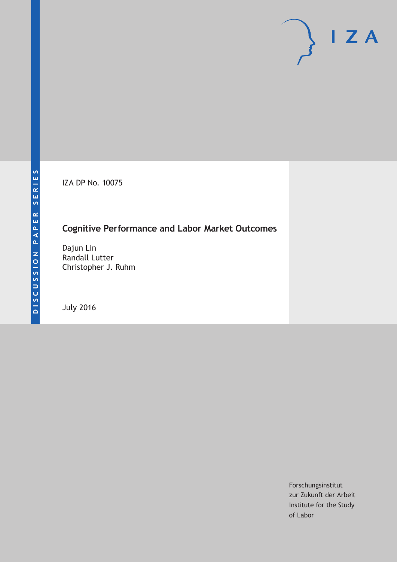IZA DP No. 10075

### **Cognitive Performance and Labor Market Outcomes**

Dajun Lin Randall Lutter Christopher J. Ruhm

July 2016

Forschungsinstitut zur Zukunft der Arbeit Institute for the Study of Labor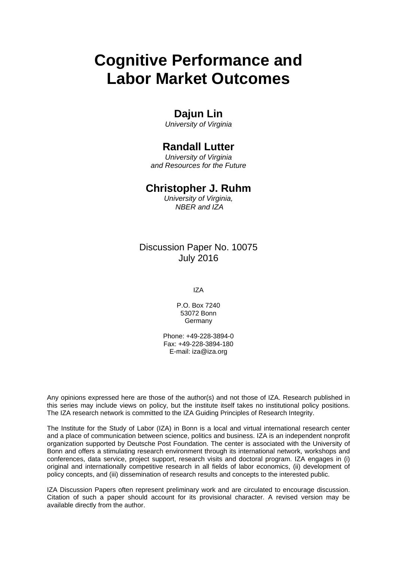# **Cognitive Performance and Labor Market Outcomes**

### **Dajun Lin**

*University of Virginia* 

### **Randall Lutter**

*University of Virginia and Resources for the Future* 

### **Christopher J. Ruhm**

*University of Virginia, NBER and IZA*

Discussion Paper No. 10075 July 2016

IZA

P.O. Box 7240 53072 Bonn **Germany** 

Phone: +49-228-3894-0 Fax: +49-228-3894-180 E-mail: iza@iza.org

Any opinions expressed here are those of the author(s) and not those of IZA. Research published in this series may include views on policy, but the institute itself takes no institutional policy positions. The IZA research network is committed to the IZA Guiding Principles of Research Integrity.

The Institute for the Study of Labor (IZA) in Bonn is a local and virtual international research center and a place of communication between science, politics and business. IZA is an independent nonprofit organization supported by Deutsche Post Foundation. The center is associated with the University of Bonn and offers a stimulating research environment through its international network, workshops and conferences, data service, project support, research visits and doctoral program. IZA engages in (i) original and internationally competitive research in all fields of labor economics, (ii) development of policy concepts, and (iii) dissemination of research results and concepts to the interested public.

IZA Discussion Papers often represent preliminary work and are circulated to encourage discussion. Citation of such a paper should account for its provisional character. A revised version may be available directly from the author.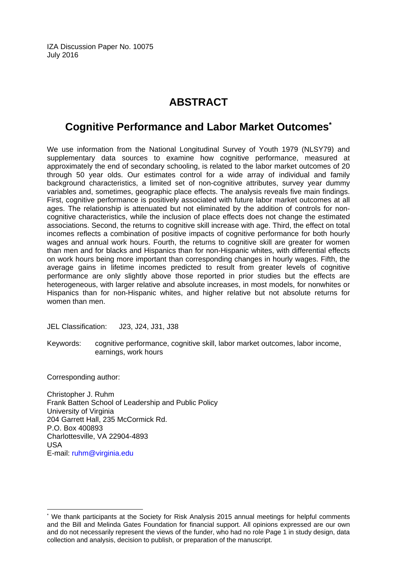IZA Discussion Paper No. 10075 July 2016

# **ABSTRACT**

## **Cognitive Performance and Labor Market Outcomes\***

We use information from the National Longitudinal Survey of Youth 1979 (NLSY79) and supplementary data sources to examine how cognitive performance, measured at approximately the end of secondary schooling, is related to the labor market outcomes of 20 through 50 year olds. Our estimates control for a wide array of individual and family background characteristics, a limited set of non-cognitive attributes, survey year dummy variables and, sometimes, geographic place effects. The analysis reveals five main findings. First, cognitive performance is positively associated with future labor market outcomes at all ages. The relationship is attenuated but not eliminated by the addition of controls for noncognitive characteristics, while the inclusion of place effects does not change the estimated associations. Second, the returns to cognitive skill increase with age. Third, the effect on total incomes reflects a combination of positive impacts of cognitive performance for both hourly wages and annual work hours. Fourth, the returns to cognitive skill are greater for women than men and for blacks and Hispanics than for non-Hispanic whites, with differential effects on work hours being more important than corresponding changes in hourly wages. Fifth, the average gains in lifetime incomes predicted to result from greater levels of cognitive performance are only slightly above those reported in prior studies but the effects are heterogeneous, with larger relative and absolute increases, in most models, for nonwhites or Hispanics than for non-Hispanic whites, and higher relative but not absolute returns for women than men.

JEL Classification: J23, J24, J31, J38

Keywords: cognitive performance, cognitive skill, labor market outcomes, labor income, earnings, work hours

Corresponding author:

 $\overline{a}$ 

Christopher J. Ruhm Frank Batten School of Leadership and Public Policy University of Virginia 204 Garrett Hall, 235 McCormick Rd. P.O. Box 400893 Charlottesville, VA 22904-4893 USA E-mail: ruhm@virginia.edu

<sup>\*</sup> We thank participants at the Society for Risk Analysis 2015 annual meetings for helpful comments and the Bill and Melinda Gates Foundation for financial support. All opinions expressed are our own and do not necessarily represent the views of the funder, who had no role Page 1 in study design, data collection and analysis, decision to publish, or preparation of the manuscript.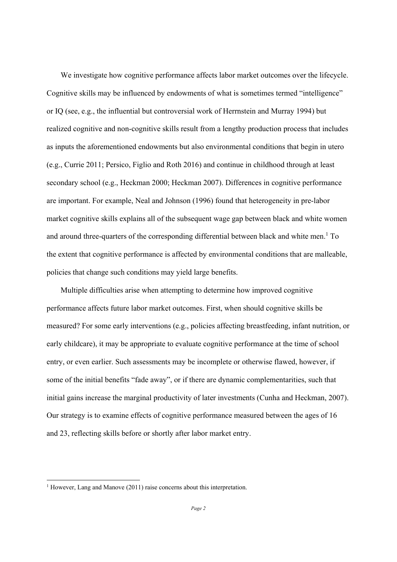We investigate how cognitive performance affects labor market outcomes over the lifecycle. Cognitive skills may be influenced by endowments of what is sometimes termed "intelligence" or IQ (see, e.g., the influential but controversial work of Herrnstein and Murray 1994) but realized cognitive and non-cognitive skills result from a lengthy production process that includes as inputs the aforementioned endowments but also environmental conditions that begin in utero (e.g., Currie 2011; Persico, Figlio and Roth 2016) and continue in childhood through at least secondary school (e.g., Heckman 2000; Heckman 2007). Differences in cognitive performance are important. For example, Neal and Johnson (1996) found that heterogeneity in pre-labor market cognitive skills explains all of the subsequent wage gap between black and white women and around three-quarters of the corresponding differential between black and white men.<sup>1</sup> To the extent that cognitive performance is affected by environmental conditions that are malleable, policies that change such conditions may yield large benefits.

Multiple difficulties arise when attempting to determine how improved cognitive performance affects future labor market outcomes. First, when should cognitive skills be measured? For some early interventions (e.g., policies affecting breastfeeding, infant nutrition, or early childcare), it may be appropriate to evaluate cognitive performance at the time of school entry, or even earlier. Such assessments may be incomplete or otherwise flawed, however, if some of the initial benefits "fade away", or if there are dynamic complementarities, such that initial gains increase the marginal productivity of later investments (Cunha and Heckman, 2007). Our strategy is to examine effects of cognitive performance measured between the ages of 16 and 23, reflecting skills before or shortly after labor market entry.

<sup>&</sup>lt;sup>1</sup> However, Lang and Manove (2011) raise concerns about this interpretation.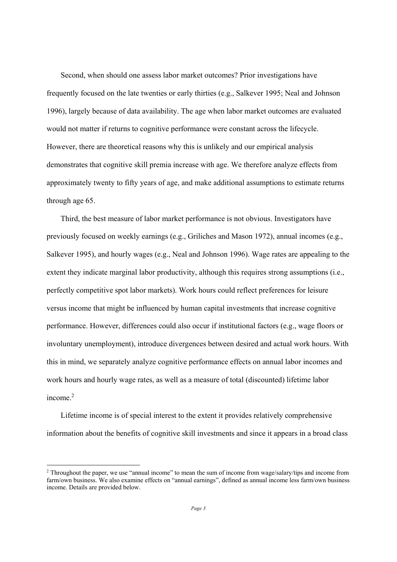Second, when should one assess labor market outcomes? Prior investigations have frequently focused on the late twenties or early thirties (e.g., Salkever 1995; Neal and Johnson 1996), largely because of data availability. The age when labor market outcomes are evaluated would not matter if returns to cognitive performance were constant across the lifecycle. However, there are theoretical reasons why this is unlikely and our empirical analysis demonstrates that cognitive skill premia increase with age. We therefore analyze effects from approximately twenty to fifty years of age, and make additional assumptions to estimate returns through age 65.

Third, the best measure of labor market performance is not obvious. Investigators have previously focused on weekly earnings (e.g., Griliches and Mason 1972), annual incomes (e.g., Salkever 1995), and hourly wages (e.g., Neal and Johnson 1996). Wage rates are appealing to the extent they indicate marginal labor productivity, although this requires strong assumptions (i.e., perfectly competitive spot labor markets). Work hours could reflect preferences for leisure versus income that might be influenced by human capital investments that increase cognitive performance. However, differences could also occur if institutional factors (e.g., wage floors or involuntary unemployment), introduce divergences between desired and actual work hours. With this in mind, we separately analyze cognitive performance effects on annual labor incomes and work hours and hourly wage rates, as well as a measure of total (discounted) lifetime labor income $^2$ 

Lifetime income is of special interest to the extent it provides relatively comprehensive information about the benefits of cognitive skill investments and since it appears in a broad class

<sup>&</sup>lt;sup>2</sup> Throughout the paper, we use "annual income" to mean the sum of income from wage/salary/tips and income from farm/own business. We also examine effects on "annual earnings", defined as annual income less farm/own business income. Details are provided below.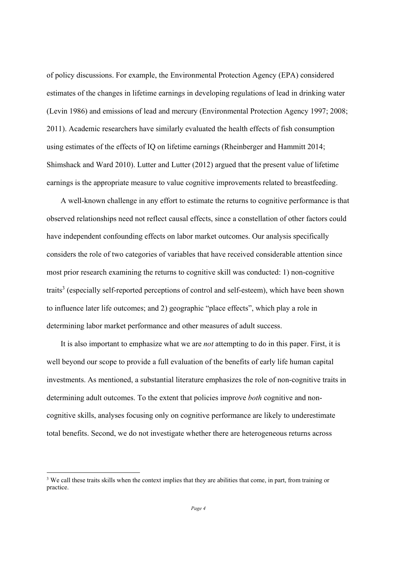of policy discussions. For example, the Environmental Protection Agency (EPA) considered estimates of the changes in lifetime earnings in developing regulations of lead in drinking water (Levin 1986) and emissions of lead and mercury (Environmental Protection Agency 1997; 2008; 2011). Academic researchers have similarly evaluated the health effects of fish consumption using estimates of the effects of IQ on lifetime earnings (Rheinberger and Hammitt 2014; Shimshack and Ward 2010). Lutter and Lutter (2012) argued that the present value of lifetime earnings is the appropriate measure to value cognitive improvements related to breastfeeding.

A well-known challenge in any effort to estimate the returns to cognitive performance is that observed relationships need not reflect causal effects, since a constellation of other factors could have independent confounding effects on labor market outcomes. Our analysis specifically considers the role of two categories of variables that have received considerable attention since most prior research examining the returns to cognitive skill was conducted: 1) non-cognitive traits<sup>3</sup> (especially self-reported perceptions of control and self-esteem), which have been shown to influence later life outcomes; and 2) geographic "place effects", which play a role in determining labor market performance and other measures of adult success.

It is also important to emphasize what we are *not* attempting to do in this paper. First, it is well beyond our scope to provide a full evaluation of the benefits of early life human capital investments. As mentioned, a substantial literature emphasizes the role of non-cognitive traits in determining adult outcomes. To the extent that policies improve *both* cognitive and noncognitive skills, analyses focusing only on cognitive performance are likely to underestimate total benefits. Second, we do not investigate whether there are heterogeneous returns across

<sup>&</sup>lt;sup>3</sup> We call these traits skills when the context implies that they are abilities that come, in part, from training or practice.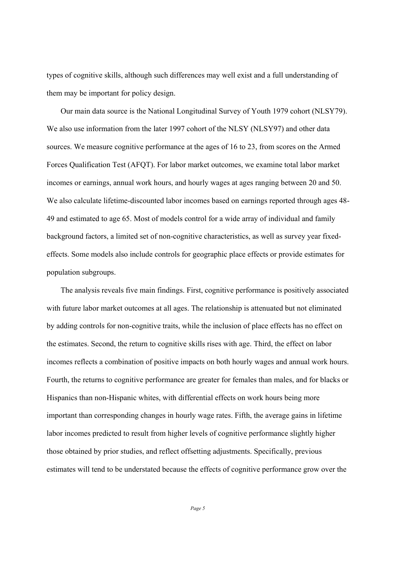types of cognitive skills, although such differences may well exist and a full understanding of them may be important for policy design.

Our main data source is the National Longitudinal Survey of Youth 1979 cohort (NLSY79). We also use information from the later 1997 cohort of the NLSY (NLSY97) and other data sources. We measure cognitive performance at the ages of 16 to 23, from scores on the Armed Forces Qualification Test (AFQT). For labor market outcomes, we examine total labor market incomes or earnings, annual work hours, and hourly wages at ages ranging between 20 and 50. We also calculate lifetime-discounted labor incomes based on earnings reported through ages 48- 49 and estimated to age 65. Most of models control for a wide array of individual and family background factors, a limited set of non-cognitive characteristics, as well as survey year fixedeffects. Some models also include controls for geographic place effects or provide estimates for population subgroups.

The analysis reveals five main findings. First, cognitive performance is positively associated with future labor market outcomes at all ages. The relationship is attenuated but not eliminated by adding controls for non-cognitive traits, while the inclusion of place effects has no effect on the estimates. Second, the return to cognitive skills rises with age. Third, the effect on labor incomes reflects a combination of positive impacts on both hourly wages and annual work hours. Fourth, the returns to cognitive performance are greater for females than males, and for blacks or Hispanics than non-Hispanic whites, with differential effects on work hours being more important than corresponding changes in hourly wage rates. Fifth, the average gains in lifetime labor incomes predicted to result from higher levels of cognitive performance slightly higher those obtained by prior studies, and reflect offsetting adjustments. Specifically, previous estimates will tend to be understated because the effects of cognitive performance grow over the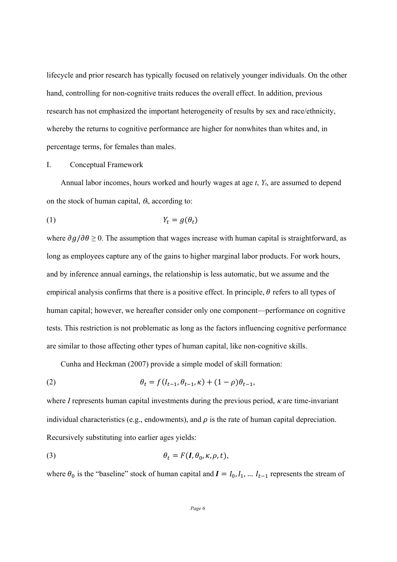lifecycle and prior research has typically focused on relatively younger individuals. On the other hand, controlling for non-cognitive traits reduces the overall effect. In addition, previous research has not emphasized the important heterogeneity of results by sex and race/ethnicity, whereby the returns to cognitive performance are higher for nonwhites than whites and, in percentage terms, for females than males.

#### I. Conceptual Framework

Annual labor incomes, hours worked and hourly wages at age *t*, *Yt*, are assumed to depend on the stock of human capital,  $\theta_t$ , according to:

$$
(1) \t Y_t = g(\theta_t)
$$

where  $\partial g/\partial \theta \ge 0$ . The assumption that wages increase with human capital is straightforward, as long as employees capture any of the gains to higher marginal labor products. For work hours, and by inference annual earnings, the relationship is less automatic, but we assume and the empirical analysis confirms that there is a positive effect. In principle,  $\theta$  refers to all types of human capital; however, we hereafter consider only one component—performance on cognitive tests. This restriction is not problematic as long as the factors influencing cognitive performance are similar to those affecting other types of human capital, like non-cognitive skills.

Cunha and Heckman (2007) provide a simple model of skill formation:

(2) 
$$
\theta_t = f(l_{t-1}, \theta_{t-1}, \kappa) + (1 - \rho)\theta_{t-1},
$$

where *I* represents human capital investments during the previous period,  $\kappa$  are time-invariant individual characteristics (e.g., endowments), and  $\rho$  is the rate of human capital depreciation. Recursively substituting into earlier ages yields:

(3) 
$$
\theta_t = F(I, \theta_0, \kappa, \rho, t),
$$

where  $\theta_0$  is the "baseline" stock of human capital and  $I = I_0, I_1, ... I_{t-1}$  represents the stream of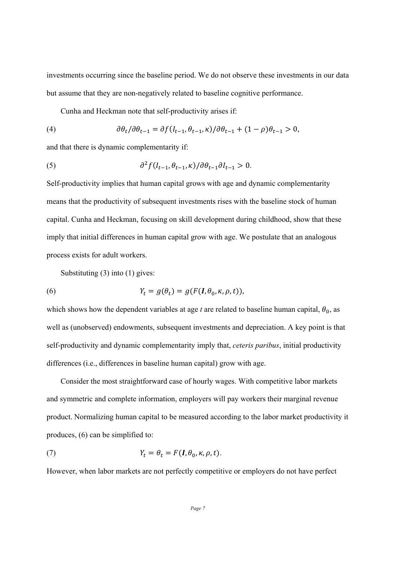investments occurring since the baseline period. We do not observe these investments in our data but assume that they are non-negatively related to baseline cognitive performance.

Cunha and Heckman note that self-productivity arises if:

(4) 
$$
\partial \theta_t / \partial \theta_{t-1} = \partial f(I_{t-1}, \theta_{t-1}, \kappa) / \partial \theta_{t-1} + (1 - \rho) \theta_{t-1} > 0,
$$

and that there is dynamic complementarity if:

(5) 
$$
\partial^2 f(I_{t-1}, \theta_{t-1}, \kappa) / \partial \theta_{t-1} \partial I_{t-1} > 0.
$$

Self-productivity implies that human capital grows with age and dynamic complementarity means that the productivity of subsequent investments rises with the baseline stock of human capital. Cunha and Heckman, focusing on skill development during childhood, show that these imply that initial differences in human capital grow with age. We postulate that an analogous process exists for adult workers.

Substituting (3) into (1) gives:

(6) 
$$
Y_t = g(\theta_t) = g(F(\mathbf{I}, \theta_0, \kappa, \rho, t)),
$$

which shows how the dependent variables at age  $t$  are related to baseline human capital,  $\theta_0$ , as well as (unobserved) endowments, subsequent investments and depreciation. A key point is that self-productivity and dynamic complementarity imply that, *ceteris paribus*, initial productivity differences (i.e., differences in baseline human capital) grow with age.

Consider the most straightforward case of hourly wages. With competitive labor markets and symmetric and complete information, employers will pay workers their marginal revenue product. Normalizing human capital to be measured according to the labor market productivity it produces, (6) can be simplified to:

(7) 
$$
Y_t = \theta_t = F(I, \theta_0, \kappa, \rho, t).
$$

However, when labor markets are not perfectly competitive or employers do not have perfect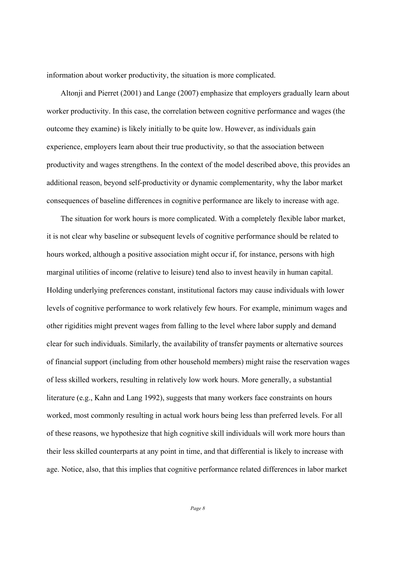information about worker productivity, the situation is more complicated.

Altonji and Pierret (2001) and Lange (2007) emphasize that employers gradually learn about worker productivity. In this case, the correlation between cognitive performance and wages (the outcome they examine) is likely initially to be quite low. However, as individuals gain experience, employers learn about their true productivity, so that the association between productivity and wages strengthens. In the context of the model described above, this provides an additional reason, beyond self-productivity or dynamic complementarity, why the labor market consequences of baseline differences in cognitive performance are likely to increase with age.

The situation for work hours is more complicated. With a completely flexible labor market, it is not clear why baseline or subsequent levels of cognitive performance should be related to hours worked, although a positive association might occur if, for instance, persons with high marginal utilities of income (relative to leisure) tend also to invest heavily in human capital. Holding underlying preferences constant, institutional factors may cause individuals with lower levels of cognitive performance to work relatively few hours. For example, minimum wages and other rigidities might prevent wages from falling to the level where labor supply and demand clear for such individuals. Similarly, the availability of transfer payments or alternative sources of financial support (including from other household members) might raise the reservation wages of less skilled workers, resulting in relatively low work hours. More generally, a substantial literature (e.g., Kahn and Lang 1992), suggests that many workers face constraints on hours worked, most commonly resulting in actual work hours being less than preferred levels. For all of these reasons, we hypothesize that high cognitive skill individuals will work more hours than their less skilled counterparts at any point in time, and that differential is likely to increase with age. Notice, also, that this implies that cognitive performance related differences in labor market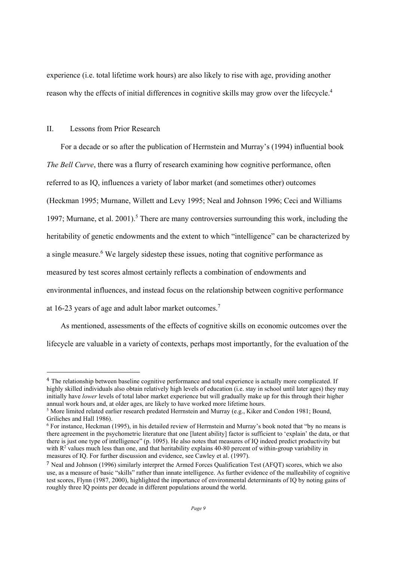experience (i.e. total lifetime work hours) are also likely to rise with age, providing another reason why the effects of initial differences in cognitive skills may grow over the lifecycle.4

#### II. Lessons from Prior Research

 

For a decade or so after the publication of Herrnstein and Murray's (1994) influential book *The Bell Curve*, there was a flurry of research examining how cognitive performance, often referred to as IQ, influences a variety of labor market (and sometimes other) outcomes (Heckman 1995; Murnane, Willett and Levy 1995; Neal and Johnson 1996; Ceci and Williams 1997; Murnane, et al. 2001).<sup>5</sup> There are many controversies surrounding this work, including the heritability of genetic endowments and the extent to which "intelligence" can be characterized by a single measure.<sup>6</sup> We largely sidestep these issues, noting that cognitive performance as measured by test scores almost certainly reflects a combination of endowments and environmental influences, and instead focus on the relationship between cognitive performance at 16-23 years of age and adult labor market outcomes.7

As mentioned, assessments of the effects of cognitive skills on economic outcomes over the lifecycle are valuable in a variety of contexts, perhaps most importantly, for the evaluation of the

<sup>4</sup> The relationship between baseline cognitive performance and total experience is actually more complicated. If highly skilled individuals also obtain relatively high levels of education (i.e. stay in school until later ages) they may initially have *lower* levels of total labor market experience but will gradually make up for this through their higher annual work hours and, at older ages, are likely to have worked more lifetime hours.

<sup>&</sup>lt;sup>5</sup> More limited related earlier research predated Herrnstein and Murray (e.g., Kiker and Condon 1981; Bound, Griliches and Hall 1986). 

<sup>6</sup> For instance, Heckman (1995), in his detailed review of Herrnstein and Murray's book noted that "by no means is there agreement in the psychometric literature that one [latent ability] factor is sufficient to 'explain' the data, or that there is just one type of intelligence" (p. 1095). He also notes that measures of IQ indeed predict productivity but with  $R<sup>2</sup>$  values much less than one, and that heritability explains 40-80 percent of within-group variability in measures of IQ. For further discussion and evidence, see Cawley et al. (1997).

<sup>7</sup> Neal and Johnson (1996) similarly interpret the Armed Forces Qualification Test (AFQT) scores, which we also use, as a measure of basic "skills" rather than innate intelligence. As further evidence of the malleability of cognitive test scores, Flynn (1987, 2000), highlighted the importance of environmental determinants of IQ by noting gains of roughly three IQ points per decade in different populations around the world.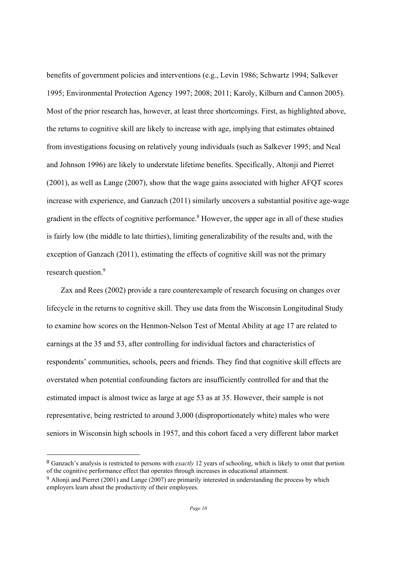benefits of government policies and interventions (e.g., Levin 1986; Schwartz 1994; Salkever 1995; Environmental Protection Agency 1997; 2008; 2011; Karoly, Kilburn and Cannon 2005). Most of the prior research has, however, at least three shortcomings. First, as highlighted above, the returns to cognitive skill are likely to increase with age, implying that estimates obtained from investigations focusing on relatively young individuals (such as Salkever 1995; and Neal and Johnson 1996) are likely to understate lifetime benefits. Specifically, Altonji and Pierret (2001), as well as Lange (2007), show that the wage gains associated with higher AFQT scores increase with experience, and Ganzach (2011) similarly uncovers a substantial positive age-wage gradient in the effects of cognitive performance.<sup>8</sup> However, the upper age in all of these studies is fairly low (the middle to late thirties), limiting generalizability of the results and, with the exception of Ganzach (2011), estimating the effects of cognitive skill was not the primary research question.<sup>9</sup>

Zax and Rees (2002) provide a rare counterexample of research focusing on changes over lifecycle in the returns to cognitive skill. They use data from the Wisconsin Longitudinal Study to examine how scores on the Henmon-Nelson Test of Mental Ability at age 17 are related to earnings at the 35 and 53, after controlling for individual factors and characteristics of respondents' communities, schools, peers and friends. They find that cognitive skill effects are overstated when potential confounding factors are insufficiently controlled for and that the estimated impact is almost twice as large at age 53 as at 35. However, their sample is not representative, being restricted to around 3,000 (disproportionately white) males who were seniors in Wisconsin high schools in 1957, and this cohort faced a very different labor market

8 Ganzach's analysis is restricted to persons with *exactly* 12 years of schooling, which is likely to omit that portion of the cognitive performance effect that operates through increases in educational attainment.

<sup>9</sup> Altonji and Pierret (2001) and Lange (2007) are primarily interested in understanding the process by which employers learn about the productivity of their employees.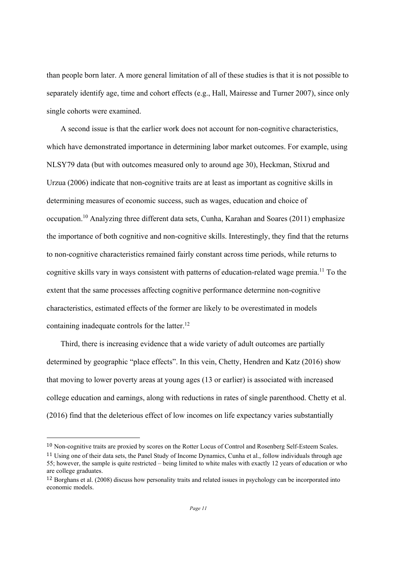than people born later. A more general limitation of all of these studies is that it is not possible to separately identify age, time and cohort effects (e.g., Hall, Mairesse and Turner 2007), since only single cohorts were examined.

A second issue is that the earlier work does not account for non-cognitive characteristics, which have demonstrated importance in determining labor market outcomes. For example, using NLSY79 data (but with outcomes measured only to around age 30), Heckman, Stixrud and Urzua (2006) indicate that non-cognitive traits are at least as important as cognitive skills in determining measures of economic success, such as wages, education and choice of occupation.10 Analyzing three different data sets, Cunha, Karahan and Soares (2011) emphasize the importance of both cognitive and non-cognitive skills. Interestingly, they find that the returns to non-cognitive characteristics remained fairly constant across time periods, while returns to cognitive skills vary in ways consistent with patterns of education-related wage premia.11 To the extent that the same processes affecting cognitive performance determine non-cognitive characteristics, estimated effects of the former are likely to be overestimated in models containing inadequate controls for the latter.<sup>12</sup>

Third, there is increasing evidence that a wide variety of adult outcomes are partially determined by geographic "place effects". In this vein, Chetty, Hendren and Katz (2016) show that moving to lower poverty areas at young ages (13 or earlier) is associated with increased college education and earnings, along with reductions in rates of single parenthood. Chetty et al. (2016) find that the deleterious effect of low incomes on life expectancy varies substantially

<sup>10</sup> Non-cognitive traits are proxied by scores on the Rotter Locus of Control and Rosenberg Self-Esteem Scales.

<sup>11</sup> Using one of their data sets, the Panel Study of Income Dynamics, Cunha et al., follow individuals through age 55; however, the sample is quite restricted – being limited to white males with exactly 12 years of education or who are college graduates.

<sup>12</sup> Borghans et al. (2008) discuss how personality traits and related issues in psychology can be incorporated into economic models.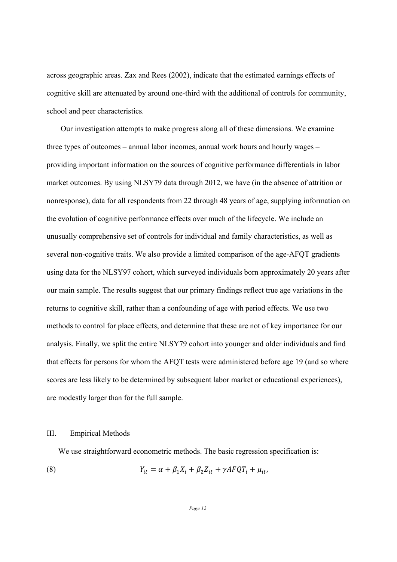across geographic areas. Zax and Rees (2002), indicate that the estimated earnings effects of cognitive skill are attenuated by around one-third with the additional of controls for community, school and peer characteristics.

Our investigation attempts to make progress along all of these dimensions. We examine three types of outcomes – annual labor incomes, annual work hours and hourly wages – providing important information on the sources of cognitive performance differentials in labor market outcomes. By using NLSY79 data through 2012, we have (in the absence of attrition or nonresponse), data for all respondents from 22 through 48 years of age, supplying information on the evolution of cognitive performance effects over much of the lifecycle. We include an unusually comprehensive set of controls for individual and family characteristics, as well as several non-cognitive traits. We also provide a limited comparison of the age-AFQT gradients using data for the NLSY97 cohort, which surveyed individuals born approximately 20 years after our main sample. The results suggest that our primary findings reflect true age variations in the returns to cognitive skill, rather than a confounding of age with period effects. We use two methods to control for place effects, and determine that these are not of key importance for our analysis. Finally, we split the entire NLSY79 cohort into younger and older individuals and find that effects for persons for whom the AFQT tests were administered before age 19 (and so where scores are less likely to be determined by subsequent labor market or educational experiences), are modestly larger than for the full sample.

#### III. Empirical Methods

We use straightforward econometric methods. The basic regression specification is:

(8) 
$$
Y_{it} = \alpha + \beta_1 X_i + \beta_2 Z_{it} + \gamma A F Q T_i + \mu_{it},
$$

*Page 12*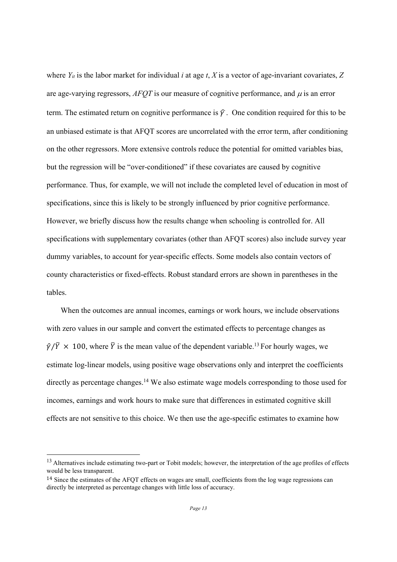where  $Y_{it}$  is the labor market for individual *i* at age *t*, *X* is a vector of age-invariant covariates, *Z* are age-varying regressors,  $AFOT$  is our measure of cognitive performance, and  $\mu$  is an error term. The estimated return on cognitive performance is  $\hat{\gamma}$ . One condition required for this to be an unbiased estimate is that AFQT scores are uncorrelated with the error term, after conditioning on the other regressors. More extensive controls reduce the potential for omitted variables bias, but the regression will be "over-conditioned" if these covariates are caused by cognitive performance. Thus, for example, we will not include the completed level of education in most of specifications, since this is likely to be strongly influenced by prior cognitive performance. However, we briefly discuss how the results change when schooling is controlled for. All specifications with supplementary covariates (other than AFQT scores) also include survey year dummy variables, to account for year-specific effects. Some models also contain vectors of county characteristics or fixed-effects. Robust standard errors are shown in parentheses in the tables.

When the outcomes are annual incomes, earnings or work hours, we include observations with zero values in our sample and convert the estimated effects to percentage changes as  $\hat{\gamma}/\bar{Y} \times 100$ , where  $\bar{Y}$  is the mean value of the dependent variable.<sup>13</sup> For hourly wages, we estimate log-linear models, using positive wage observations only and interpret the coefficients directly as percentage changes.<sup>14</sup> We also estimate wage models corresponding to those used for incomes, earnings and work hours to make sure that differences in estimated cognitive skill effects are not sensitive to this choice. We then use the age-specific estimates to examine how

<sup>&</sup>lt;sup>13</sup> Alternatives include estimating two-part or Tobit models; however, the interpretation of the age profiles of effects would be less transparent.

<sup>&</sup>lt;sup>14</sup> Since the estimates of the AFOT effects on wages are small, coefficients from the log wage regressions can directly be interpreted as percentage changes with little loss of accuracy.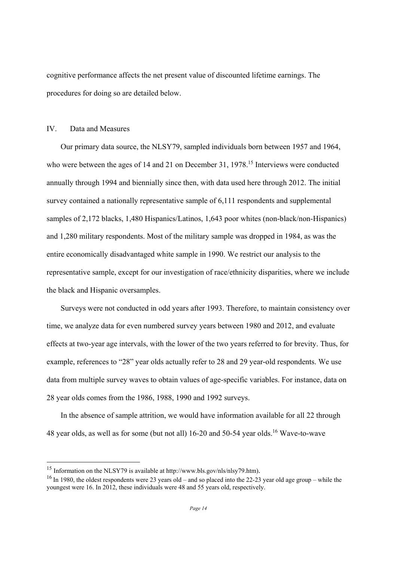cognitive performance affects the net present value of discounted lifetime earnings. The procedures for doing so are detailed below.

#### IV. Data and Measures

Our primary data source, the NLSY79, sampled individuals born between 1957 and 1964, who were between the ages of 14 and 21 on December 31, 1978.<sup>15</sup> Interviews were conducted annually through 1994 and biennially since then, with data used here through 2012. The initial survey contained a nationally representative sample of 6,111 respondents and supplemental samples of 2,172 blacks, 1,480 Hispanics/Latinos, 1,643 poor whites (non-black/non-Hispanics) and 1,280 military respondents. Most of the military sample was dropped in 1984, as was the entire economically disadvantaged white sample in 1990. We restrict our analysis to the representative sample, except for our investigation of race/ethnicity disparities, where we include the black and Hispanic oversamples.

Surveys were not conducted in odd years after 1993. Therefore, to maintain consistency over time, we analyze data for even numbered survey years between 1980 and 2012, and evaluate effects at two-year age intervals, with the lower of the two years referred to for brevity. Thus, for example, references to "28" year olds actually refer to 28 and 29 year-old respondents. We use data from multiple survey waves to obtain values of age-specific variables. For instance, data on 28 year olds comes from the 1986, 1988, 1990 and 1992 surveys.

In the absence of sample attrition, we would have information available for all 22 through 48 year olds, as well as for some (but not all) 16-20 and 50-54 year olds.16 Wave-to-wave

<sup>15</sup> Information on the NLSY79 is available at http://www.bls.gov/nls/nlsy79.htm).

<sup>&</sup>lt;sup>16</sup> In 1980, the oldest respondents were 23 years old – and so placed into the 22-23 year old age group – while the youngest were 16. In 2012, these individuals were 48 and 55 years old, respectively.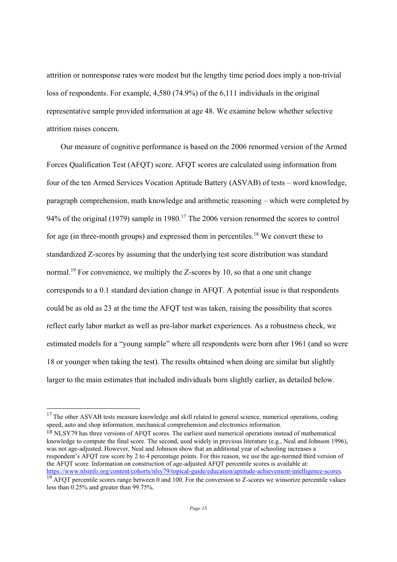attrition or nonresponse rates were modest but the lengthy time period does imply a non-trivial loss of respondents. For example, 4,580 (74.9%) of the 6,111 individuals in the original representative sample provided information at age 48. We examine below whether selective attrition raises concern.

Our measure of cognitive performance is based on the 2006 renormed version of the Armed Forces Qualification Test (AFQT) score. AFQT scores are calculated using information from four of the ten Armed Services Vocation Aptitude Battery (ASVAB) of tests – word knowledge, paragraph comprehension, math knowledge and arithmetic reasoning – which were completed by 94% of the original (1979) sample in 1980.<sup>17</sup> The 2006 version renormed the scores to control for age (in three-month groups) and expressed them in percentiles.<sup>18</sup> We convert these to standardized Z-scores by assuming that the underlying test score distribution was standard normal.<sup>19</sup> For convenience, we multiply the Z-scores by 10, so that a one unit change corresponds to a 0.1 standard deviation change in AFQT. A potential issue is that respondents could be as old as 23 at the time the AFQT test was taken, raising the possibility that scores reflect early labor market as well as pre-labor market experiences. As a robustness check, we estimated models for a "young sample" where all respondents were born after 1961 (and so were 18 or younger when taking the test). The results obtained when doing are similar but slightly larger to the main estimates that included individuals born slightly earlier, as detailed below.

 

18 NLSY79 has three versions of AFQT scores. The earliest used numerical operations instead of mathematical knowledge to compute the final score. The second, used widely in previous literature (e.g., Neal and Johnson 1996), was not age-adjusted. However, Neal and Johnson show that an additional year of schooling increases a respondent's AFQT raw score by 2 to 4 percentage points. For this reason, we use the age-normed third version of the AFQT score. Information on construction of age-adjusted AFQT percentile scores is available at:<br>https://www.nlsinfo.org/content/cohorts/nlsy79/topical-guide/education/aptitude-achievement-intelligence-scores.

<sup>&</sup>lt;sup>17</sup> The other ASVAB tests measure knowledge and skill related to general science, numerical operations, coding speed, auto and shop information, mechanical comprehension and electronics information.

 $\frac{19}{19}$  AFOT percentile scores range between 0 and 100. For the conversion to Z-scores we winsorize percentile values less than 0.25% and greater than 99.75%.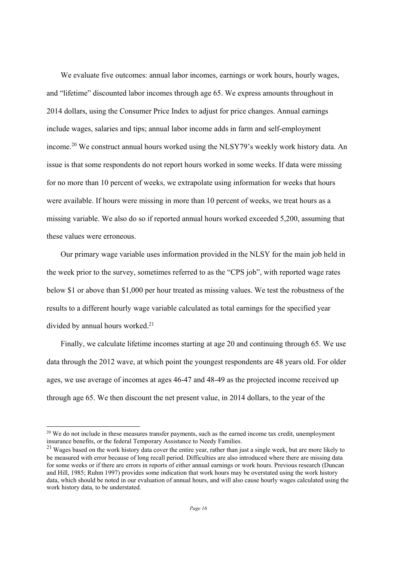We evaluate five outcomes: annual labor incomes, earnings or work hours, hourly wages, and "lifetime" discounted labor incomes through age 65. We express amounts throughout in 2014 dollars, using the Consumer Price Index to adjust for price changes. Annual earnings include wages, salaries and tips; annual labor income adds in farm and self-employment income.<sup>20</sup> We construct annual hours worked using the NLSY79's weekly work history data. An issue is that some respondents do not report hours worked in some weeks. If data were missing for no more than 10 percent of weeks, we extrapolate using information for weeks that hours were available. If hours were missing in more than 10 percent of weeks, we treat hours as a missing variable. We also do so if reported annual hours worked exceeded 5,200, assuming that these values were erroneous.

Our primary wage variable uses information provided in the NLSY for the main job held in the week prior to the survey, sometimes referred to as the "CPS job", with reported wage rates below \$1 or above than \$1,000 per hour treated as missing values. We test the robustness of the results to a different hourly wage variable calculated as total earnings for the specified year divided by annual hours worked.<sup>21</sup>

Finally, we calculate lifetime incomes starting at age 20 and continuing through 65. We use data through the 2012 wave, at which point the youngest respondents are 48 years old. For older ages, we use average of incomes at ages 46-47 and 48-49 as the projected income received up through age 65. We then discount the net present value, in 2014 dollars, to the year of the

<sup>&</sup>lt;sup>20</sup> We do not include in these measures transfer payments, such as the earned income tax credit, unemployment insurance benefits, or the federal Temporary Assistance to Needy Families.

 $21$  Wages based on the work history data cover the entire year, rather than just a single week, but are more likely to be measured with error because of long recall period. Difficulties are also introduced where there are missing data for some weeks or if there are errors in reports of either annual earnings or work hours. Previous research (Duncan and Hill, 1985; Ruhm 1997) provides some indication that work hours may be overstated using the work history data, which should be noted in our evaluation of annual hours, and will also cause hourly wages calculated using the work history data, to be understated.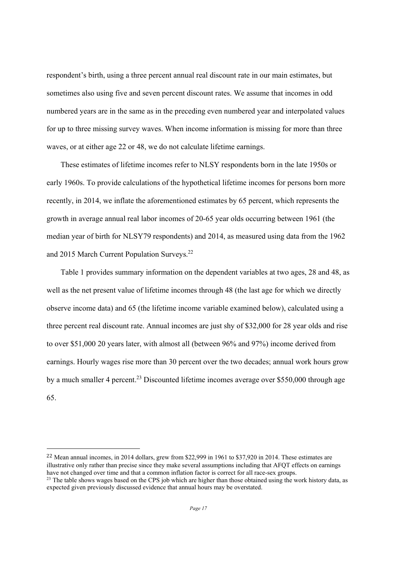respondent's birth, using a three percent annual real discount rate in our main estimates, but sometimes also using five and seven percent discount rates. We assume that incomes in odd numbered years are in the same as in the preceding even numbered year and interpolated values for up to three missing survey waves. When income information is missing for more than three waves, or at either age 22 or 48, we do not calculate lifetime earnings.

These estimates of lifetime incomes refer to NLSY respondents born in the late 1950s or early 1960s. To provide calculations of the hypothetical lifetime incomes for persons born more recently, in 2014, we inflate the aforementioned estimates by 65 percent, which represents the growth in average annual real labor incomes of 20-65 year olds occurring between 1961 (the median year of birth for NLSY79 respondents) and 2014, as measured using data from the 1962 and 2015 March Current Population Surveys.<sup>22</sup>

Table 1 provides summary information on the dependent variables at two ages, 28 and 48, as well as the net present value of lifetime incomes through 48 (the last age for which we directly observe income data) and 65 (the lifetime income variable examined below), calculated using a three percent real discount rate. Annual incomes are just shy of \$32,000 for 28 year olds and rise to over \$51,000 20 years later, with almost all (between 96% and 97%) income derived from earnings. Hourly wages rise more than 30 percent over the two decades; annual work hours grow by a much smaller 4 percent.<sup>23</sup> Discounted lifetime incomes average over \$550,000 through age 65.

<sup>22</sup> Mean annual incomes, in 2014 dollars, grew from \$22,999 in 1961 to \$37,920 in 2014. These estimates are illustrative only rather than precise since they make several assumptions including that AFQT effects on earnings have not changed over time and that a common inflation factor is correct for all race-sex groups. <sup>23</sup> The table shows wages based on the CPS job which are higher than those obtained using the work history data, as

expected given previously discussed evidence that annual hours may be overstated.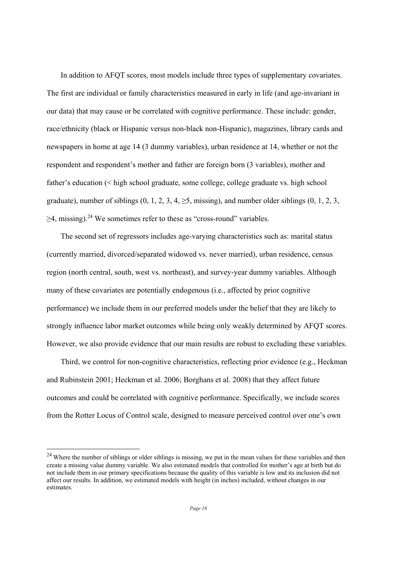In addition to AFQT scores, most models include three types of supplementary covariates. The first are individual or family characteristics measured in early in life (and age-invariant in our data) that may cause or be correlated with cognitive performance. These include: gender, race/ethnicity (black or Hispanic versus non-black non-Hispanic), magazines, library cards and newspapers in home at age 14 (3 dummy variables), urban residence at 14, whether or not the respondent and respondent's mother and father are foreign born (3 variables), mother and father's education (< high school graduate, some college, college graduate vs. high school graduate), number of siblings  $(0, 1, 2, 3, 4, \ge 5$ , missing), and number older siblings  $(0, 1, 2, 3, \dots)$  $\geq$ 4, missing).<sup>24</sup> We sometimes refer to these as "cross-round" variables.

The second set of regressors includes age-varying characteristics such as: marital status (currently married, divorced/separated widowed vs. never married), urban residence, census region (north central, south, west vs. northeast), and survey-year dummy variables. Although many of these covariates are potentially endogenous (i.e., affected by prior cognitive performance) we include them in our preferred models under the belief that they are likely to strongly influence labor market outcomes while being only weakly determined by AFQT scores. However, we also provide evidence that our main results are robust to excluding these variables.

Third, we control for non-cognitive characteristics, reflecting prior evidence (e.g., Heckman and Rubinstein 2001; Heckman et al. 2006; Borghans et al. 2008) that they affect future outcomes and could be correlated with cognitive performance. Specifically, we include scores from the Rotter Locus of Control scale, designed to measure perceived control over one's own

<sup>&</sup>lt;sup>24</sup> Where the number of siblings or older siblings is missing, we put in the mean values for these variables and then create a missing value dummy variable. We also estimated models that controlled for mother's age at birth but do not include them in our primary specifications because the quality of this variable is low and its inclusion did not affect our results. In addition, we estimated models with height (in inches) included, without changes in our estimates.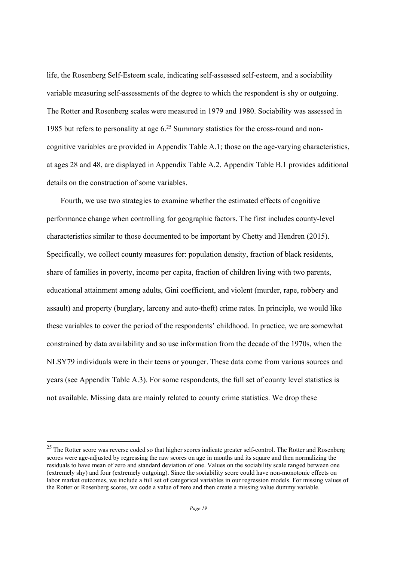life, the Rosenberg Self-Esteem scale, indicating self-assessed self-esteem, and a sociability variable measuring self-assessments of the degree to which the respondent is shy or outgoing. The Rotter and Rosenberg scales were measured in 1979 and 1980. Sociability was assessed in 1985 but refers to personality at age 6.25 Summary statistics for the cross-round and noncognitive variables are provided in Appendix Table A.1; those on the age-varying characteristics, at ages 28 and 48, are displayed in Appendix Table A.2. Appendix Table B.1 provides additional details on the construction of some variables.

Fourth, we use two strategies to examine whether the estimated effects of cognitive performance change when controlling for geographic factors. The first includes county-level characteristics similar to those documented to be important by Chetty and Hendren (2015). Specifically, we collect county measures for: population density, fraction of black residents, share of families in poverty, income per capita, fraction of children living with two parents, educational attainment among adults, Gini coefficient, and violent (murder, rape, robbery and assault) and property (burglary, larceny and auto-theft) crime rates. In principle, we would like these variables to cover the period of the respondents' childhood. In practice, we are somewhat constrained by data availability and so use information from the decade of the 1970s, when the NLSY79 individuals were in their teens or younger. These data come from various sources and years (see Appendix Table A.3). For some respondents, the full set of county level statistics is not available. Missing data are mainly related to county crime statistics. We drop these

 $25$  The Rotter score was reverse coded so that higher scores indicate greater self-control. The Rotter and Rosenberg scores were age-adjusted by regressing the raw scores on age in months and its square and then normalizing the residuals to have mean of zero and standard deviation of one. Values on the sociability scale ranged between one (extremely shy) and four (extremely outgoing). Since the sociability score could have non-monotonic effects on labor market outcomes, we include a full set of categorical variables in our regression models. For missing values of the Rotter or Rosenberg scores, we code a value of zero and then create a missing value dummy variable.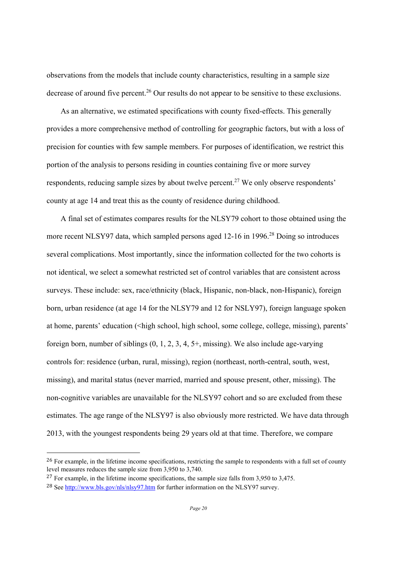observations from the models that include county characteristics, resulting in a sample size decrease of around five percent.<sup>26</sup> Our results do not appear to be sensitive to these exclusions.

As an alternative, we estimated specifications with county fixed-effects. This generally provides a more comprehensive method of controlling for geographic factors, but with a loss of precision for counties with few sample members. For purposes of identification, we restrict this portion of the analysis to persons residing in counties containing five or more survey respondents, reducing sample sizes by about twelve percent.<sup>27</sup> We only observe respondents' county at age 14 and treat this as the county of residence during childhood.

A final set of estimates compares results for the NLSY79 cohort to those obtained using the more recent NLSY97 data, which sampled persons aged 12-16 in 1996.<sup>28</sup> Doing so introduces several complications. Most importantly, since the information collected for the two cohorts is not identical, we select a somewhat restricted set of control variables that are consistent across surveys. These include: sex, race/ethnicity (black, Hispanic, non-black, non-Hispanic), foreign born, urban residence (at age 14 for the NLSY79 and 12 for NSLY97), foreign language spoken at home, parents' education (<high school, high school, some college, college, missing), parents' foreign born, number of siblings (0, 1, 2, 3, 4, 5+, missing). We also include age-varying controls for: residence (urban, rural, missing), region (northeast, north-central, south, west, missing), and marital status (never married, married and spouse present, other, missing). The non-cognitive variables are unavailable for the NLSY97 cohort and so are excluded from these estimates. The age range of the NLSY97 is also obviously more restricted. We have data through 2013, with the youngest respondents being 29 years old at that time. Therefore, we compare

<sup>&</sup>lt;sup>26</sup> For example, in the lifetime income specifications, restricting the sample to respondents with a full set of county level measures reduces the sample size from 3,950 to 3,740.

<sup>&</sup>lt;sup>27</sup> For example, in the lifetime income specifications, the sample size falls from 3,950 to 3,475.

<sup>28</sup> See http://www.bls.gov/nls/nlsy97.htm for further information on the NLSY97 survey.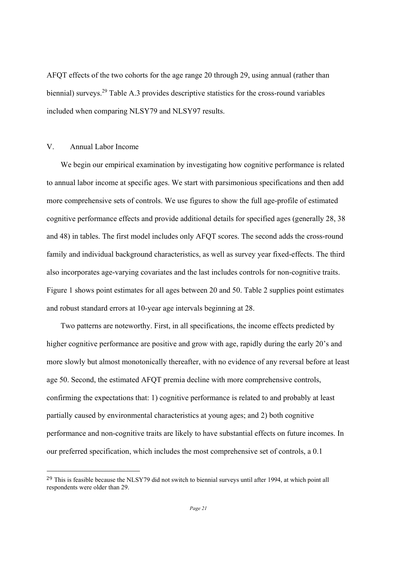AFQT effects of the two cohorts for the age range 20 through 29, using annual (rather than biennial) surveys.<sup>29</sup> Table A.3 provides descriptive statistics for the cross-round variables included when comparing NLSY79 and NLSY97 results.

#### V. Annual Labor Income

 

We begin our empirical examination by investigating how cognitive performance is related to annual labor income at specific ages. We start with parsimonious specifications and then add more comprehensive sets of controls. We use figures to show the full age-profile of estimated cognitive performance effects and provide additional details for specified ages (generally 28, 38 and 48) in tables. The first model includes only AFQT scores. The second adds the cross-round family and individual background characteristics, as well as survey year fixed-effects. The third also incorporates age-varying covariates and the last includes controls for non-cognitive traits. Figure 1 shows point estimates for all ages between 20 and 50. Table 2 supplies point estimates and robust standard errors at 10-year age intervals beginning at 28.

Two patterns are noteworthy. First, in all specifications, the income effects predicted by higher cognitive performance are positive and grow with age, rapidly during the early 20's and more slowly but almost monotonically thereafter, with no evidence of any reversal before at least age 50. Second, the estimated AFQT premia decline with more comprehensive controls, confirming the expectations that: 1) cognitive performance is related to and probably at least partially caused by environmental characteristics at young ages; and 2) both cognitive performance and non-cognitive traits are likely to have substantial effects on future incomes. In our preferred specification, which includes the most comprehensive set of controls, a 0.1

<sup>&</sup>lt;sup>29</sup> This is feasible because the NLSY79 did not switch to biennial surveys until after 1994, at which point all respondents were older than 29.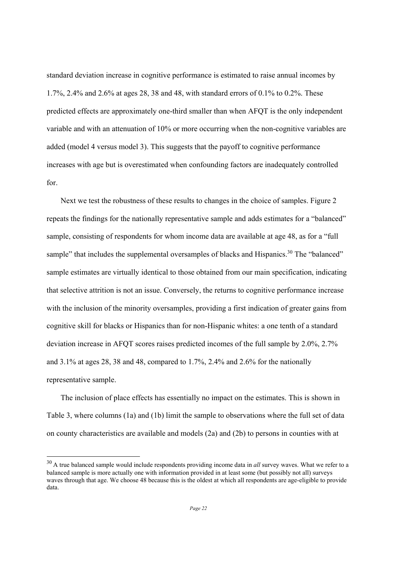standard deviation increase in cognitive performance is estimated to raise annual incomes by 1.7%, 2.4% and 2.6% at ages 28, 38 and 48, with standard errors of 0.1% to 0.2%. These predicted effects are approximately one-third smaller than when AFQT is the only independent variable and with an attenuation of 10% or more occurring when the non-cognitive variables are added (model 4 versus model 3). This suggests that the payoff to cognitive performance increases with age but is overestimated when confounding factors are inadequately controlled for.

Next we test the robustness of these results to changes in the choice of samples. Figure 2 repeats the findings for the nationally representative sample and adds estimates for a "balanced" sample, consisting of respondents for whom income data are available at age 48, as for a "full sample" that includes the supplemental oversamples of blacks and Hispanics.<sup>30</sup> The "balanced" sample estimates are virtually identical to those obtained from our main specification, indicating that selective attrition is not an issue. Conversely, the returns to cognitive performance increase with the inclusion of the minority oversamples, providing a first indication of greater gains from cognitive skill for blacks or Hispanics than for non-Hispanic whites: a one tenth of a standard deviation increase in AFQT scores raises predicted incomes of the full sample by 2.0%, 2.7% and  $3.1\%$  at ages 28, 38 and 48, compared to 1.7%, 2.4% and 2.6% for the nationally representative sample.

The inclusion of place effects has essentially no impact on the estimates. This is shown in Table 3, where columns (1a) and (1b) limit the sample to observations where the full set of data on county characteristics are available and models (2a) and (2b) to persons in counties with at

<sup>&</sup>lt;sup>30</sup> A true balanced sample would include respondents providing income data in *all* survey waves. What we refer to a balanced sample is more actually one with information provided in at least some (but possibly not all) surveys waves through that age. We choose 48 because this is the oldest at which all respondents are age-eligible to provide data.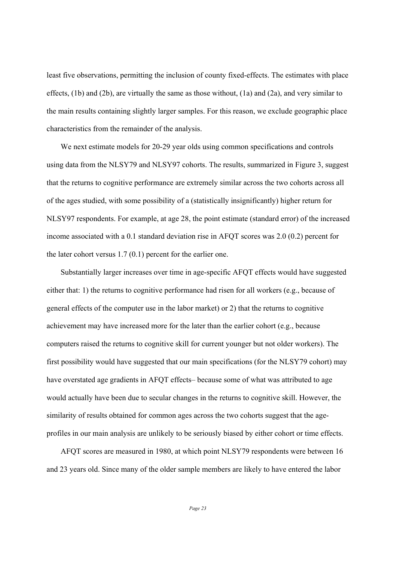least five observations, permitting the inclusion of county fixed-effects. The estimates with place effects, (1b) and (2b), are virtually the same as those without, (1a) and (2a), and very similar to the main results containing slightly larger samples. For this reason, we exclude geographic place characteristics from the remainder of the analysis.

We next estimate models for 20-29 year olds using common specifications and controls using data from the NLSY79 and NLSY97 cohorts. The results, summarized in Figure 3, suggest that the returns to cognitive performance are extremely similar across the two cohorts across all of the ages studied, with some possibility of a (statistically insignificantly) higher return for NLSY97 respondents. For example, at age 28, the point estimate (standard error) of the increased income associated with a 0.1 standard deviation rise in AFQT scores was 2.0 (0.2) percent for the later cohort versus 1.7 (0.1) percent for the earlier one.

Substantially larger increases over time in age-specific AFQT effects would have suggested either that: 1) the returns to cognitive performance had risen for all workers (e.g., because of general effects of the computer use in the labor market) or 2) that the returns to cognitive achievement may have increased more for the later than the earlier cohort (e.g., because computers raised the returns to cognitive skill for current younger but not older workers). The first possibility would have suggested that our main specifications (for the NLSY79 cohort) may have overstated age gradients in AFQT effects– because some of what was attributed to age would actually have been due to secular changes in the returns to cognitive skill. However, the similarity of results obtained for common ages across the two cohorts suggest that the ageprofiles in our main analysis are unlikely to be seriously biased by either cohort or time effects.

AFQT scores are measured in 1980, at which point NLSY79 respondents were between 16 and 23 years old. Since many of the older sample members are likely to have entered the labor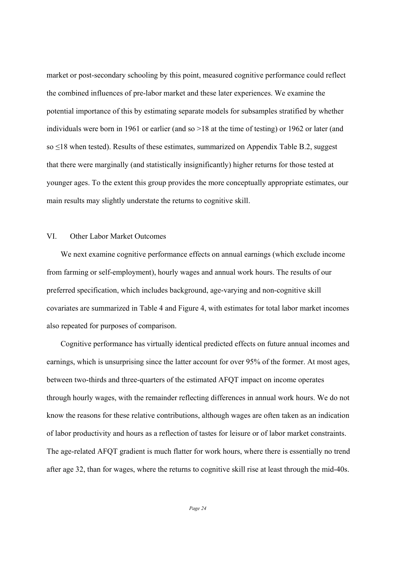market or post-secondary schooling by this point, measured cognitive performance could reflect the combined influences of pre-labor market and these later experiences. We examine the potential importance of this by estimating separate models for subsamples stratified by whether individuals were born in 1961 or earlier (and so >18 at the time of testing) or 1962 or later (and so ≤18 when tested). Results of these estimates, summarized on Appendix Table B.2, suggest that there were marginally (and statistically insignificantly) higher returns for those tested at younger ages. To the extent this group provides the more conceptually appropriate estimates, our main results may slightly understate the returns to cognitive skill.

#### VI. Other Labor Market Outcomes

We next examine cognitive performance effects on annual earnings (which exclude income from farming or self-employment), hourly wages and annual work hours. The results of our preferred specification, which includes background, age-varying and non-cognitive skill covariates are summarized in Table 4 and Figure 4, with estimates for total labor market incomes also repeated for purposes of comparison.

Cognitive performance has virtually identical predicted effects on future annual incomes and earnings, which is unsurprising since the latter account for over 95% of the former. At most ages, between two-thirds and three-quarters of the estimated AFQT impact on income operates through hourly wages, with the remainder reflecting differences in annual work hours. We do not know the reasons for these relative contributions, although wages are often taken as an indication of labor productivity and hours as a reflection of tastes for leisure or of labor market constraints. The age-related AFQT gradient is much flatter for work hours, where there is essentially no trend after age 32, than for wages, where the returns to cognitive skill rise at least through the mid-40s.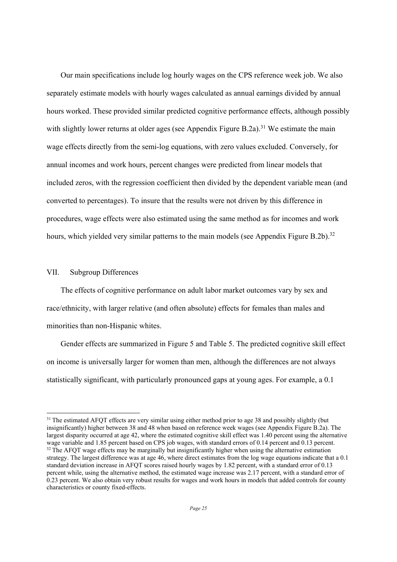Our main specifications include log hourly wages on the CPS reference week job. We also separately estimate models with hourly wages calculated as annual earnings divided by annual hours worked. These provided similar predicted cognitive performance effects, although possibly with slightly lower returns at older ages (see Appendix Figure B.2a).<sup>31</sup> We estimate the main wage effects directly from the semi-log equations, with zero values excluded. Conversely, for annual incomes and work hours, percent changes were predicted from linear models that included zeros, with the regression coefficient then divided by the dependent variable mean (and converted to percentages). To insure that the results were not driven by this difference in procedures, wage effects were also estimated using the same method as for incomes and work hours, which yielded very similar patterns to the main models (see Appendix Figure B.2b).<sup>32</sup>

#### VII. Subgroup Differences

 

The effects of cognitive performance on adult labor market outcomes vary by sex and race/ethnicity, with larger relative (and often absolute) effects for females than males and minorities than non-Hispanic whites.

Gender effects are summarized in Figure 5 and Table 5. The predicted cognitive skill effect on income is universally larger for women than men, although the differences are not always statistically significant, with particularly pronounced gaps at young ages. For example, a 0.1

<sup>&</sup>lt;sup>31</sup> The estimated AFOT effects are very similar using either method prior to age 38 and possibly slightly (but insignificantly) higher between 38 and 48 when based on reference week wages (see Appendix Figure B.2a). The largest disparity occurred at age 42, where the estimated cognitive skill effect was 1.40 percent using the alternative wage variable and 1.85 percent based on CPS job wages, with standard errors of 0.14 percent and 0.13 percent. <sup>32</sup> The AFQT wage effects may be marginally but insignificantly higher when using the alternative estimation strategy. The largest difference was at age 46, where direct estimates from the log wage equations indicate that a 0.1 standard deviation increase in AFQT scores raised hourly wages by 1.82 percent, with a standard error of 0.13 percent while, using the alternative method, the estimated wage increase was 2.17 percent, with a standard error of 0.23 percent. We also obtain very robust results for wages and work hours in models that added controls for county characteristics or county fixed-effects.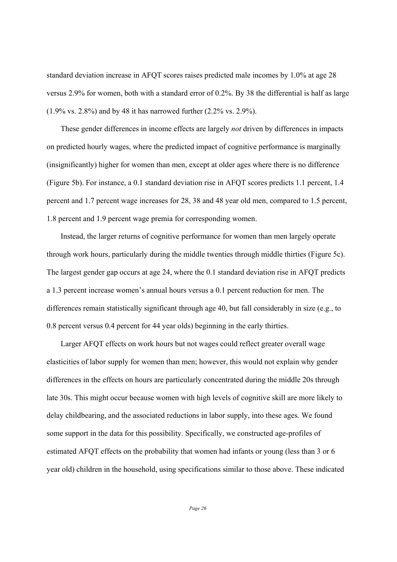standard deviation increase in AFQT scores raises predicted male incomes by 1.0% at age 28 versus 2.9% for women, both with a standard error of 0.2%. By 38 the differential is half as large (1.9% vs. 2.8%) and by 48 it has narrowed further (2.2% vs. 2.9%).

These gender differences in income effects are largely *not* driven by differences in impacts on predicted hourly wages, where the predicted impact of cognitive performance is marginally (insignificantly) higher for women than men, except at older ages where there is no difference (Figure 5b). For instance, a 0.1 standard deviation rise in AFQT scores predicts 1.1 percent, 1.4 percent and 1.7 percent wage increases for 28, 38 and 48 year old men, compared to 1.5 percent, 1.8 percent and 1.9 percent wage premia for corresponding women.

Instead, the larger returns of cognitive performance for women than men largely operate through work hours, particularly during the middle twenties through middle thirties (Figure 5c). The largest gender gap occurs at age 24, where the 0.1 standard deviation rise in AFQT predicts a 1.3 percent increase women's annual hours versus a 0.1 percent reduction for men. The differences remain statistically significant through age 40, but fall considerably in size (e.g., to 0.8 percent versus 0.4 percent for 44 year olds) beginning in the early thirties.

Larger AFQT effects on work hours but not wages could reflect greater overall wage elasticities of labor supply for women than men; however, this would not explain why gender differences in the effects on hours are particularly concentrated during the middle 20s through late 30s. This might occur because women with high levels of cognitive skill are more likely to delay childbearing, and the associated reductions in labor supply, into these ages. We found some support in the data for this possibility. Specifically, we constructed age-profiles of estimated AFQT effects on the probability that women had infants or young (less than 3 or 6 year old) children in the household, using specifications similar to those above. These indicated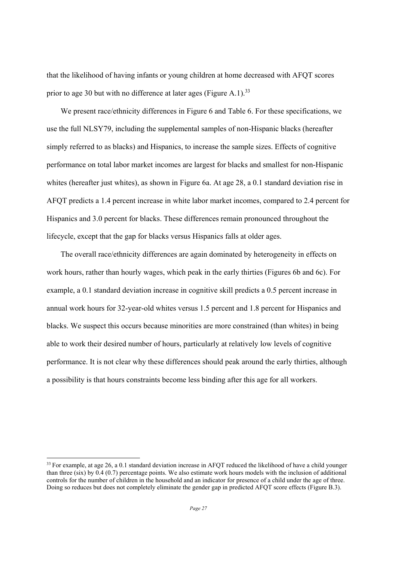that the likelihood of having infants or young children at home decreased with AFQT scores prior to age 30 but with no difference at later ages (Figure A.1).<sup>33</sup>

We present race/ethnicity differences in Figure 6 and Table 6. For these specifications, we use the full NLSY79, including the supplemental samples of non-Hispanic blacks (hereafter simply referred to as blacks) and Hispanics, to increase the sample sizes. Effects of cognitive performance on total labor market incomes are largest for blacks and smallest for non-Hispanic whites (hereafter just whites), as shown in Figure 6a. At age 28, a 0.1 standard deviation rise in AFQT predicts a 1.4 percent increase in white labor market incomes, compared to 2.4 percent for Hispanics and 3.0 percent for blacks. These differences remain pronounced throughout the lifecycle, except that the gap for blacks versus Hispanics falls at older ages.

The overall race/ethnicity differences are again dominated by heterogeneity in effects on work hours, rather than hourly wages, which peak in the early thirties (Figures 6b and 6c). For example, a 0.1 standard deviation increase in cognitive skill predicts a 0.5 percent increase in annual work hours for 32-year-old whites versus 1.5 percent and 1.8 percent for Hispanics and blacks. We suspect this occurs because minorities are more constrained (than whites) in being able to work their desired number of hours, particularly at relatively low levels of cognitive performance. It is not clear why these differences should peak around the early thirties, although a possibility is that hours constraints become less binding after this age for all workers.

<sup>&</sup>lt;sup>33</sup> For example, at age 26, a 0.1 standard deviation increase in AFQT reduced the likelihood of have a child younger than three (six) by 0.4 (0.7) percentage points. We also estimate work hours models with the inclusion of additional controls for the number of children in the household and an indicator for presence of a child under the age of three. Doing so reduces but does not completely eliminate the gender gap in predicted AFQT score effects (Figure B.3).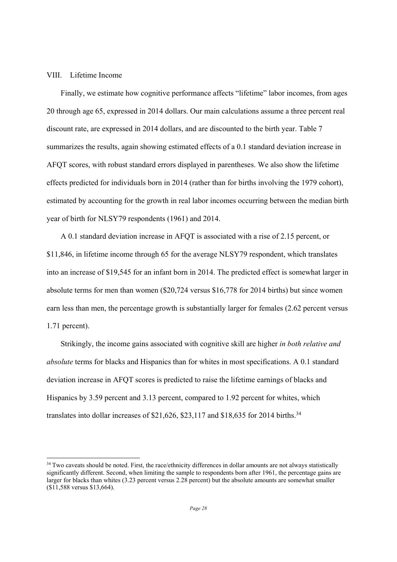#### VIII. Lifetime Income

 

Finally, we estimate how cognitive performance affects "lifetime" labor incomes, from ages 20 through age 65, expressed in 2014 dollars. Our main calculations assume a three percent real discount rate, are expressed in 2014 dollars, and are discounted to the birth year. Table 7 summarizes the results, again showing estimated effects of a 0.1 standard deviation increase in AFQT scores, with robust standard errors displayed in parentheses. We also show the lifetime effects predicted for individuals born in 2014 (rather than for births involving the 1979 cohort), estimated by accounting for the growth in real labor incomes occurring between the median birth year of birth for NLSY79 respondents (1961) and 2014.

A 0.1 standard deviation increase in AFQT is associated with a rise of 2.15 percent, or \$11,846, in lifetime income through 65 for the average NLSY79 respondent, which translates into an increase of \$19,545 for an infant born in 2014. The predicted effect is somewhat larger in absolute terms for men than women (\$20,724 versus \$16,778 for 2014 births) but since women earn less than men, the percentage growth is substantially larger for females (2.62 percent versus 1.71 percent).

Strikingly, the income gains associated with cognitive skill are higher *in both relative and absolute* terms for blacks and Hispanics than for whites in most specifications. A 0.1 standard deviation increase in AFQT scores is predicted to raise the lifetime earnings of blacks and Hispanics by 3.59 percent and 3.13 percent, compared to 1.92 percent for whites, which translates into dollar increases of \$21,626, \$23,117 and \$18,635 for 2014 births.<sup>34</sup>

<sup>&</sup>lt;sup>34</sup> Two caveats should be noted. First, the race/ethnicity differences in dollar amounts are not always statistically significantly different. Second, when limiting the sample to respondents born after 1961, the percentage gains are larger for blacks than whites (3.23 percent versus 2.28 percent) but the absolute amounts are somewhat smaller (\$11,588 versus \$13,664).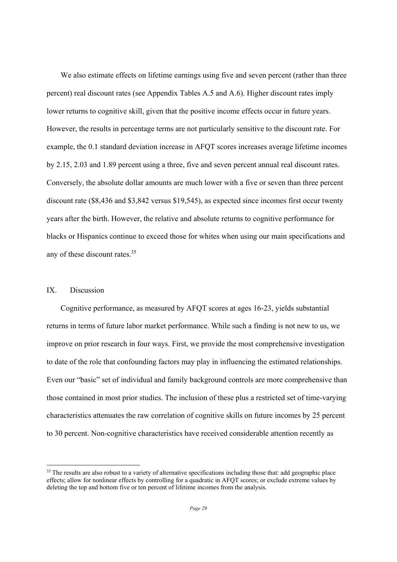We also estimate effects on lifetime earnings using five and seven percent (rather than three percent) real discount rates (see Appendix Tables A.5 and A.6). Higher discount rates imply lower returns to cognitive skill, given that the positive income effects occur in future years. However, the results in percentage terms are not particularly sensitive to the discount rate. For example, the 0.1 standard deviation increase in AFQT scores increases average lifetime incomes by 2.15, 2.03 and 1.89 percent using a three, five and seven percent annual real discount rates. Conversely, the absolute dollar amounts are much lower with a five or seven than three percent discount rate (\$8,436 and \$3,842 versus \$19,545), as expected since incomes first occur twenty years after the birth. However, the relative and absolute returns to cognitive performance for blacks or Hispanics continue to exceed those for whites when using our main specifications and any of these discount rates.35

#### IX. Discussion

 

Cognitive performance, as measured by AFQT scores at ages 16-23, yields substantial returns in terms of future labor market performance. While such a finding is not new to us, we improve on prior research in four ways. First, we provide the most comprehensive investigation to date of the role that confounding factors may play in influencing the estimated relationships. Even our "basic" set of individual and family background controls are more comprehensive than those contained in most prior studies. The inclusion of these plus a restricted set of time-varying characteristics attenuates the raw correlation of cognitive skills on future incomes by 25 percent to 30 percent. Non-cognitive characteristics have received considerable attention recently as

<sup>&</sup>lt;sup>35</sup> The results are also robust to a variety of alternative specifications including those that: add geographic place effects; allow for nonlinear effects by controlling for a quadratic in AFQT scores; or exclude extreme values by deleting the top and bottom five or ten percent of lifetime incomes from the analysis.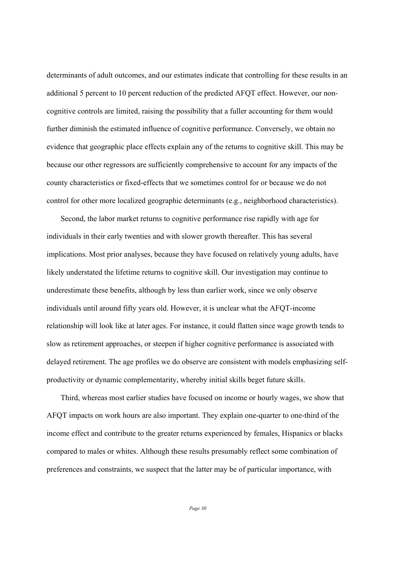determinants of adult outcomes, and our estimates indicate that controlling for these results in an additional 5 percent to 10 percent reduction of the predicted AFQT effect. However, our noncognitive controls are limited, raising the possibility that a fuller accounting for them would further diminish the estimated influence of cognitive performance. Conversely, we obtain no evidence that geographic place effects explain any of the returns to cognitive skill. This may be because our other regressors are sufficiently comprehensive to account for any impacts of the county characteristics or fixed-effects that we sometimes control for or because we do not control for other more localized geographic determinants (e.g., neighborhood characteristics).

Second, the labor market returns to cognitive performance rise rapidly with age for individuals in their early twenties and with slower growth thereafter. This has several implications. Most prior analyses, because they have focused on relatively young adults, have likely understated the lifetime returns to cognitive skill. Our investigation may continue to underestimate these benefits, although by less than earlier work, since we only observe individuals until around fifty years old. However, it is unclear what the AFQT-income relationship will look like at later ages. For instance, it could flatten since wage growth tends to slow as retirement approaches, or steepen if higher cognitive performance is associated with delayed retirement. The age profiles we do observe are consistent with models emphasizing selfproductivity or dynamic complementarity, whereby initial skills beget future skills.

Third, whereas most earlier studies have focused on income or hourly wages, we show that AFQT impacts on work hours are also important. They explain one-quarter to one-third of the income effect and contribute to the greater returns experienced by females, Hispanics or blacks compared to males or whites. Although these results presumably reflect some combination of preferences and constraints, we suspect that the latter may be of particular importance, with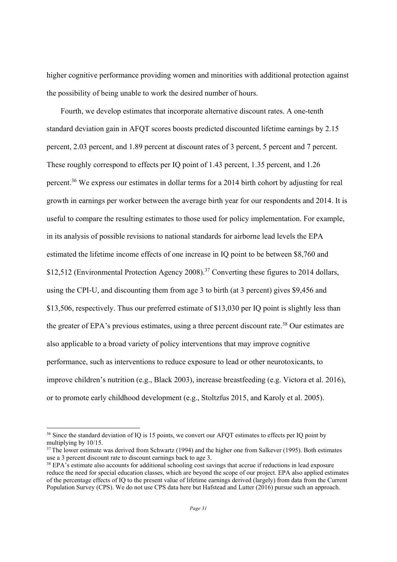higher cognitive performance providing women and minorities with additional protection against the possibility of being unable to work the desired number of hours.

Fourth, we develop estimates that incorporate alternative discount rates. A one-tenth standard deviation gain in AFQT scores boosts predicted discounted lifetime earnings by 2.15 percent, 2.03 percent, and 1.89 percent at discount rates of 3 percent, 5 percent and 7 percent. These roughly correspond to effects per IQ point of 1.43 percent, 1.35 percent, and 1.26 percent.36 We express our estimates in dollar terms for a 2014 birth cohort by adjusting for real growth in earnings per worker between the average birth year for our respondents and 2014. It is useful to compare the resulting estimates to those used for policy implementation. For example, in its analysis of possible revisions to national standards for airborne lead levels the EPA estimated the lifetime income effects of one increase in IQ point to be between \$8,760 and \$12,512 (Environmental Protection Agency 2008).<sup>37</sup> Converting these figures to 2014 dollars, using the CPI-U, and discounting them from age 3 to birth (at 3 percent) gives \$9,456 and \$13,506, respectively. Thus our preferred estimate of \$13,030 per IQ point is slightly less than the greater of EPA's previous estimates, using a three percent discount rate.<sup>38</sup> Our estimates are also applicable to a broad variety of policy interventions that may improve cognitive performance, such as interventions to reduce exposure to lead or other neurotoxicants, to improve children's nutrition (e.g., Black 2003), increase breastfeeding (e.g. Victora et al. 2016), or to promote early childhood development (e.g., Stoltzfus 2015, and Karoly et al. 2005).

<sup>&</sup>lt;sup>36</sup> Since the standard deviation of IQ is 15 points, we convert our AFQT estimates to effects per IQ point by multiplying by 10/15.

<sup>&</sup>lt;sup>37</sup> The lower estimate was derived from Schwartz (1994) and the higher one from Salkever (1995). Both estimates use a 3 percent discount rate to discount earnings back to age 3.

<sup>&</sup>lt;sup>38</sup> EPA's estimate also accounts for additional schooling cost savings that accrue if reductions in lead exposure reduce the need for special education classes, which are beyond the scope of our project. EPA also applied estimates of the percentage effects of IQ to the present value of lifetime earnings derived (largely) from data from the Current Population Survey (CPS). We do not use CPS data here but Hafstead and Lutter (2016) pursue such an approach.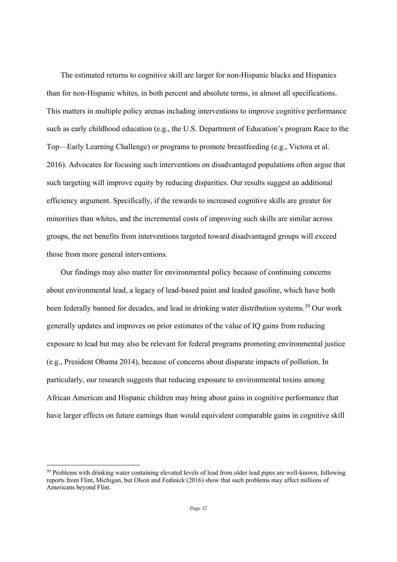The estimated returns to cognitive skill are larger for non-Hispanic blacks and Hispanics than for non-Hispanic whites, in both percent and absolute terms, in almost all specifications. This matters in multiple policy arenas including interventions to improve cognitive performance such as early childhood education (e.g., the U.S. Department of Education's program Race to the Top—Early Learning Challenge) or programs to promote breastfeeding (e.g., Victora et al. 2016). Advocates for focusing such interventions on disadvantaged populations often argue that such targeting will improve equity by reducing disparities. Our results suggest an additional efficiency argument. Specifically, if the rewards to increased cognitive skills are greater for minorities than whites, and the incremental costs of improving such skills are similar across groups, the net benefits from interventions targeted toward disadvantaged groups will exceed those from more general interventions.

Our findings may also matter for environmental policy because of continuing concerns about environmental lead, a legacy of lead-based paint and leaded gasoline, which have both been federally banned for decades, and lead in drinking water distribution systems.<sup>39</sup> Our work generally updates and improves on prior estimates of the value of IQ gains from reducing exposure to lead but may also be relevant for federal programs promoting environmental justice (e.g., President Obama 2014), because of concerns about disparate impacts of pollution. In particularly, our research suggests that reducing exposure to environmental toxins among African American and Hispanic children may bring about gains in cognitive performance that have larger effects on future earnings than would equivalent comparable gains in cognitive skill

<sup>&</sup>lt;sup>39</sup> Problems with drinking water containing elevated levels of lead from older lead pipes are well-known, following reports from Flint, Michigan, but Olson and Fedinick (2016) show that such problems may affect millions of Americans beyond Flint.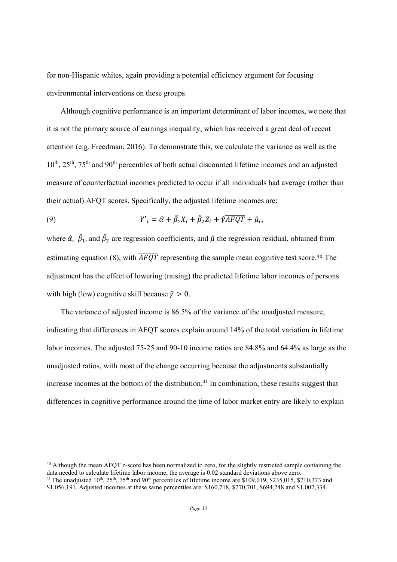for non-Hispanic whites, again providing a potential efficiency argument for focusing environmental interventions on these groups.

Although cognitive performance is an important determinant of labor incomes, we note that it is not the primary source of earnings inequality, which has received a great deal of recent attention (e.g. Freedman, 2016). To demonstrate this, we calculate the variance as well as the  $10^{th}$ ,  $25^{th}$ ,  $75^{th}$  and  $90^{th}$  percentiles of both actual discounted lifetime incomes and an adjusted measure of counterfactual incomes predicted to occur if all individuals had average (rather than their actual) AFQT scores. Specifically, the adjusted lifetime incomes are:

(9) 
$$
Y'_{i} = \hat{\alpha} + \hat{\beta}_{1}X_{i} + \hat{\beta}_{2}Z_{i} + \hat{\gamma}\overline{AFQT} + \hat{\mu}_{i},
$$

where  $\hat{\alpha}$ ,  $\hat{\beta}_1$ , and  $\hat{\beta}_2$  are regression coefficients, and  $\hat{\mu}$  the regression residual, obtained from estimating equation (8), with  $\overline{AFQT}$  representing the sample mean cognitive test score.<sup>40</sup> The adjustment has the effect of lowering (raising) the predicted lifetime labor incomes of persons with high (low) cognitive skill because  $\hat{\gamma} > 0$ .

The variance of adjusted income is 86.5% of the variance of the unadjusted measure, indicating that differences in AFQT scores explain around 14% of the total variation in lifetime labor incomes. The adjusted 75-25 and 90-10 income ratios are 84.8% and 64.4% as large as the unadjusted ratios, with most of the change occurring because the adjustments substantially increase incomes at the bottom of the distribution.<sup>41</sup> In combination, these results suggest that differences in cognitive performance around the time of labor market entry are likely to explain

<sup>&</sup>lt;sup>40</sup> Although the mean AFQT z-score has been normalized to zero, for the slightly restricted sample containing the data needed to calculate lifetime labor income, the average is 0.02 standard deviations above zero. <sup>41</sup> The unadjusted 10<sup>th</sup>, 25<sup>th</sup>, 75<sup>th</sup> and 90<sup>th</sup> percentiles of lifetime income are \$109,019, \$235,015, \$710,373 and \$1,056,191. Adjusted incomes at these same percentiles are: \$160,718, \$270,701, \$694,248 and \$1,002,334.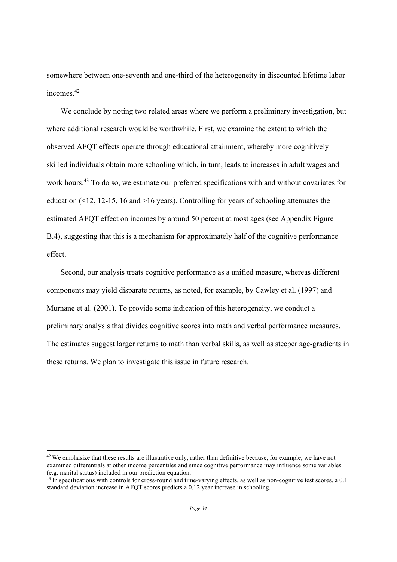somewhere between one-seventh and one-third of the heterogeneity in discounted lifetime labor incomes<sup>42</sup>

We conclude by noting two related areas where we perform a preliminary investigation, but where additional research would be worthwhile. First, we examine the extent to which the observed AFQT effects operate through educational attainment, whereby more cognitively skilled individuals obtain more schooling which, in turn, leads to increases in adult wages and work hours.43 To do so, we estimate our preferred specifications with and without covariates for education  $(12, 12-15, 16, 16)$  years). Controlling for years of schooling attenuates the estimated AFQT effect on incomes by around 50 percent at most ages (see Appendix Figure B.4), suggesting that this is a mechanism for approximately half of the cognitive performance effect.

Second, our analysis treats cognitive performance as a unified measure, whereas different components may yield disparate returns, as noted, for example, by Cawley et al. (1997) and Murnane et al. (2001). To provide some indication of this heterogeneity, we conduct a preliminary analysis that divides cognitive scores into math and verbal performance measures. The estimates suggest larger returns to math than verbal skills, as well as steeper age-gradients in these returns. We plan to investigate this issue in future research.

<sup>&</sup>lt;sup>42</sup> We emphasize that these results are illustrative only, rather than definitive because, for example, we have not examined differentials at other income percentiles and since cognitive performance may influence some variables (e.g. marital status) included in our prediction equation.

 $43$  In specifications with controls for cross-round and time-varying effects, as well as non-cognitive test scores, a 0.1 standard deviation increase in AFQT scores predicts a 0.12 year increase in schooling.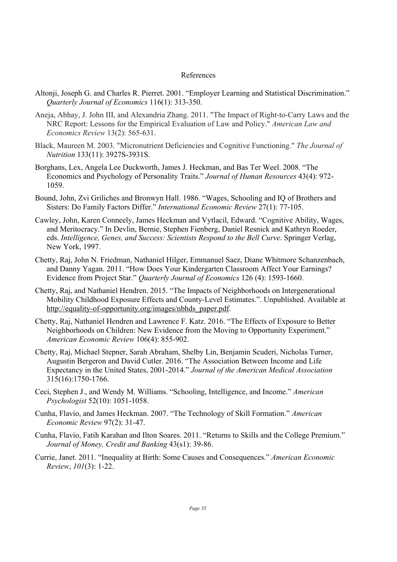#### References

- Altonji, Joseph G. and Charles R. Pierret. 2001. "Employer Learning and Statistical Discrimination." *Quarterly Journal of Economics* 116(1): 313-350.
- Aneja, Abhay, J. John III, and Alexandria Zhang. 2011. "The Impact of Right-to-Carry Laws and the NRC Report: Lessons for the Empirical Evaluation of Law and Policy." *American Law and Economics Review* 13(2): 565-631.
- Black, Maureen M. 2003. "Micronutrient Deficiencies and Cognitive Functioning." *The Journal of Nutrition* 133(11): 3927S-3931S.
- Borghans, Lex, Angela Lee Duckworth, James J. Heckman, and Bas Ter Weel. 2008. "The Economics and Psychology of Personality Traits." *Journal of Human Resources* 43(4): 972- 1059.
- Bound, John, Zvi Griliches and Bronwyn Hall. 1986. "Wages, Schooling and IQ of Brothers and Sisters: Do Family Factors Differ." *International Economic Review* 27(1): 77-105.
- Cawley, John, Karen Conneely, James Heckman and Vytlacil, Edward. "Cognitive Ability, Wages, and Meritocracy." In Devlin, Bernie, Stephen Fienberg, Daniel Resnick and Kathryn Roeder, eds. *Intelligence, Genes, and Success: Scientists Respond to the Bell Curve*. Springer Verlag, New York, 1997.
- Chetty, Raj, John N. Friedman, Nathaniel Hilger, Emmanuel Saez, Diane Whitmore Schanzenbach, and Danny Yagan. 2011. "How Does Your Kindergarten Classroom Affect Your Earnings? Evidence from Project Star." *Quarterly Journal of Economics* 126 (4): 1593-1660.
- Chetty, Raj, and Nathaniel Hendren. 2015. "The Impacts of Neighborhoods on Intergenerational Mobility Childhood Exposure Effects and County-Level Estimates.". Unpublished. Available at http://equality-of-opportunity.org/images/nbhds\_paper.pdf.
- Chetty, Raj, Nathaniel Hendren and Lawrence F. Katz. 2016. "The Effects of Exposure to Better Neighborhoods on Children: New Evidence from the Moving to Opportunity Experiment." *American Economic Review* 106(4): 855-902.
- Chetty, Raj, Michael Stepner, Sarah Abraham, Shelby Lin, Benjamin Scuderi, Nicholas Turner, Augustin Bergeron and David Cutler. 2016. "The Association Between Income and Life Expectancy in the United States, 2001-2014." *Journal of the American Medical Association* 315(16):1750-1766.
- Ceci, Stephen J., and Wendy M. Williams. "Schooling, Intelligence, and Income." *American Psychologist* 52(10): 1051-1058.
- Cunha, Flavio, and James Heckman. 2007. "The Technology of Skill Formation." *American Economic Review* 97(2): 31-47.
- Cunha, Flavio, Fatih Karahan and Ilton Soares. 2011. "Returns to Skills and the College Premium." *Journal of Money, Credit and Banking* 43(s1): 39-86.
- Currie, Janet. 2011. "Inequality at Birth: Some Causes and Consequences." *American Economic Review*, *101*(3): 1-22.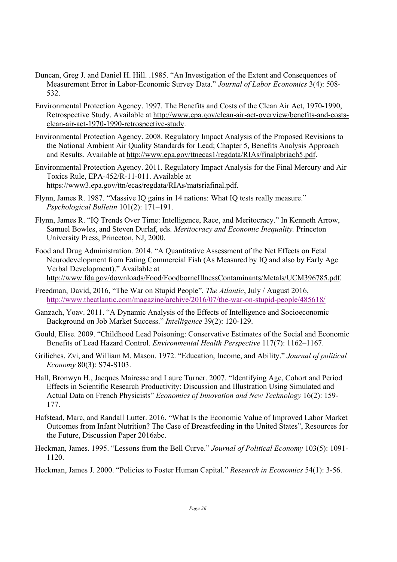- Duncan, Greg J. and Daniel H. Hill. .1985. "An Investigation of the Extent and Consequences of Measurement Error in Labor-Economic Survey Data." *Journal of Labor Economics* 3(4): 508- 532.
- Environmental Protection Agency. 1997. The Benefits and Costs of the Clean Air Act, 1970-1990, Retrospective Study. Available at http://www.epa.gov/clean-air-act-overview/benefits-and-costsclean-air-act-1970-1990-retrospective-study.
- Environmental Protection Agency. 2008. Regulatory Impact Analysis of the Proposed Revisions to the National Ambient Air Quality Standards for Lead; Chapter 5, Benefits Analysis Approach and Results. Available at http://www.epa.gov/ttnecas1/regdata/RIAs/finalpbriach5.pdf.
- Environmental Protection Agency. 2011. Regulatory Impact Analysis for the Final Mercury and Air Toxics Rule, EPA-452/R-11-011. Available at https://www3.epa.gov/ttn/ecas/regdata/RIAs/matsriafinal.pdf.
- Flynn, James R. 1987. "Massive IQ gains in 14 nations: What IQ tests really measure." *Psychological Bulletin* 101(2): 171–191.
- Flynn, James R. "IQ Trends Over Time: Intelligence, Race, and Meritocracy." In Kenneth Arrow, Samuel Bowles, and Steven Durlaf, eds. *Meritocracy and Economic Inequality.* Princeton University Press, Princeton, NJ, 2000.
- Food and Drug Administration. 2014. "A Quantitative Assessment of the Net Effects on Fetal Neurodevelopment from Eating Commercial Fish (As Measured by IQ and also by Early Age Verbal Development)." Available at http://www.fda.gov/downloads/Food/FoodborneIllnessContaminants/Metals/UCM396785.pdf.
- Freedman, David, 2016, "The War on Stupid People", *The Atlantic*, July / August 2016, http://www.theatlantic.com/magazine/archive/2016/07/the-war-on-stupid-people/485618/
- Ganzach, Yoav. 2011. "A Dynamic Analysis of the Effects of Intelligence and Socioeconomic Background on Job Market Success." *Intelligence* 39(2): 120-129.
- Gould, Elise. 2009. "Childhood Lead Poisoning: Conservative Estimates of the Social and Economic Benefits of Lead Hazard Control. *Environmental Health Perspective* 117(7): 1162–1167.
- Griliches, Zvi, and William M. Mason. 1972. "Education, Income, and Ability." *Journal of political Economy* 80(3): S74-S103.
- Hall, Bronwyn H., Jacques Mairesse and Laure Turner. 2007. "Identifying Age, Cohort and Period Effects in Scientific Research Productivity: Discussion and Illustration Using Simulated and Actual Data on French Physicists" *Economics of Innovation and New Technology* 16(2): 159- 177.
- Hafstead, Marc, and Randall Lutter. 2016. "What Is the Economic Value of Improved Labor Market Outcomes from Infant Nutrition? The Case of Breastfeeding in the United States", Resources for the Future, Discussion Paper 2016abc.
- Heckman, James. 1995. "Lessons from the Bell Curve." *Journal of Political Economy* 103(5): 1091- 1120.

Heckman, James J. 2000. "Policies to Foster Human Capital." *Research in Economics* 54(1): 3-56.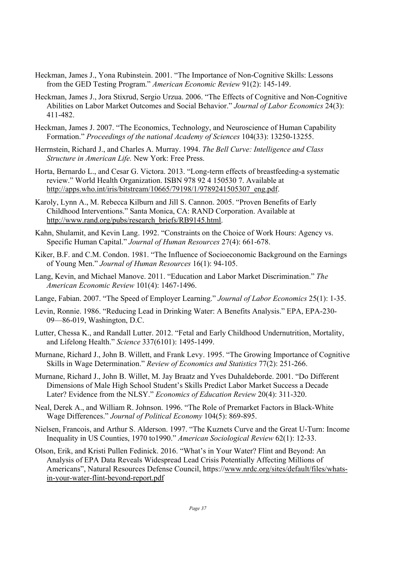- Heckman, James J., Yona Rubinstein. 2001. "The Importance of Non-Cognitive Skills: Lessons from the GED Testing Program." *American Economic Review* 91(2): 145-149.
- Heckman, James J., Jora Stixrud, Sergio Urzua. 2006. "The Effects of Cognitive and Non-Cognitive Abilities on Labor Market Outcomes and Social Behavior." *Journal of Labor Economics* 24(3): 411-482.
- Heckman, James J. 2007. "The Economics, Technology, and Neuroscience of Human Capability Formation." *Proceedings of the national Academy of Sciences* 104(33): 13250-13255.
- Herrnstein, Richard J., and Charles A. Murray. 1994. *The Bell Curve: Intelligence and Class Structure in American Life.* New York: Free Press.
- Horta, Bernardo L., and Cesar G. Victora. 2013. "Long-term effects of breastfeeding-a systematic review." World Health Organization. ISBN 978 92 4 150530 7. Available at http://apps.who.int/iris/bitstream/10665/79198/1/9789241505307\_eng.pdf.
- Karoly, Lynn A., M. Rebecca Kilburn and Jill S. Cannon. 2005. "Proven Benefits of Early Childhood Interventions." Santa Monica, CA: RAND Corporation. Available at http://www.rand.org/pubs/research\_briefs/RB9145.html.
- Kahn, Shulamit, and Kevin Lang. 1992. "Constraints on the Choice of Work Hours: Agency vs. Specific Human Capital." *Journal of Human Resources* 27(4): 661-678.
- Kiker, B.F. and C.M. Condon. 1981. "The Influence of Socioeconomic Background on the Earnings of Young Men." *Journal of Human Resources* 16(1): 94-105.
- Lang, Kevin, and Michael Manove. 2011. "Education and Labor Market Discrimination." *The American Economic Review* 101(4): 1467-1496.
- Lange, Fabian. 2007. "The Speed of Employer Learning." *Journal of Labor Economics* 25(1): 1-35.
- Levin, Ronnie. 1986. "Reducing Lead in Drinking Water: A Benefits Analysis." EPA, EPA-230- 09—86-019, Washington, D.C.
- Lutter, Chessa K., and Randall Lutter. 2012. "Fetal and Early Childhood Undernutrition, Mortality, and Lifelong Health." *Science* 337(6101): 1495-1499.
- Murnane, Richard J., John B. Willett, and Frank Levy. 1995. "The Growing Importance of Cognitive Skills in Wage Determination." *Review of Economics and Statistics* 77(2): 251-266.
- Murnane, Richard J., John B. Willet, M. Jay Braatz and Yves Duhaldeborde. 2001. "Do Different Dimensions of Male High School Student's Skills Predict Labor Market Success a Decade Later? Evidence from the NLSY." *Economics of Education Review* 20(4): 311-320.
- Neal, Derek A., and William R. Johnson. 1996. "The Role of Premarket Factors in Black-White Wage Differences." *Journal of Political Economy* 104(5): 869-895.
- Nielsen, Francois, and Arthur S. Alderson. 1997. "The Kuznets Curve and the Great U-Turn: Income Inequality in US Counties, 1970 to1990." *American Sociological Review* 62(1): 12-33.
- Olson, Erik, and Kristi Pullen Fedinick. 2016. "What's in Your Water? Flint and Beyond: An Analysis of EPA Data Reveals Widespread Lead Crisis Potentially Affecting Millions of Americans", Natural Resources Defense Council, https://www.nrdc.org/sites/default/files/whatsin-your-water-flint-beyond-report.pdf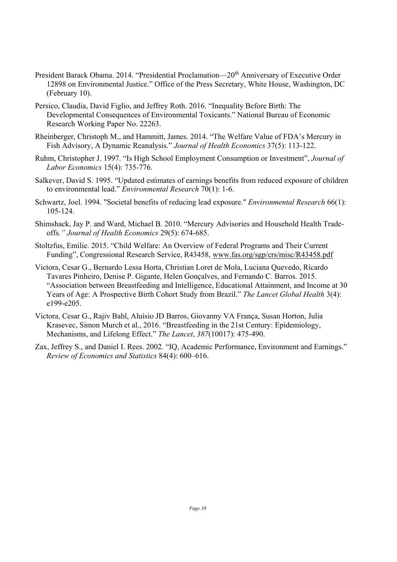- President Barack Obama. 2014. "Presidential Proclamation—20<sup>th</sup> Anniversary of Executive Order 12898 on Environmental Justice." Office of the Press Secretary, White House, Washington, DC (February 10).
- Persico, Claudia, David Figlio, and Jeffrey Roth. 2016. "Inequality Before Birth: The Developmental Consequences of Environmental Toxicants." National Bureau of Economic Research Working Paper No. 22263.
- Rheinberger, Christoph M., and Hammitt, James. 2014. "The Welfare Value of FDA's Mercury in Fish Advisory, A Dynamic Reanalysis." *Journal of Health Economics* 37(5): 113-122.
- Ruhm, Christopher J. 1997. "Is High School Employment Consumption or Investment", *Journal of Labor Economics* 15(4): 735-776.
- Salkever, David S. 1995. "Updated estimates of earnings benefits from reduced exposure of children to environmental lead." *Environmental Research* 70(1): 1-6.
- Schwartz, Joel. 1994. "Societal benefits of reducing lead exposure." *Environmental Research* 66(1): 105-124.
- Shimshack, Jay P. and Ward, Michael B. 2010. "Mercury Advisories and Household Health Tradeoffs*." Journal of Health Economics* 29(5): 674-685.
- Stoltzfus, Emilie. 2015. "Child Welfare: An Overview of Federal Programs and Their Current Funding", Congressional Research Service, R43458, www.fas.org/sgp/crs/misc/R43458.pdf
- Victora, Cesar G., Bernardo Lessa Horta, Christian Loret de Mola, Luciana Quevedo, Ricardo Tavares Pinheiro, Denise P. Gigante, Helen Gonçalves, and Fernando C. Barros. 2015. "Association between Breastfeeding and Intelligence, Educational Attainment, and Income at 30 Years of Age: A Prospective Birth Cohort Study from Brazil." *The Lancet Global Health* 3(4): e199-e205.
- Victora, Cesar G., Rajiv Bahl, Aluísio JD Barros, Giovanny VA França, Susan Horton, Julia Krasevec, Simon Murch et al., 2016. "Breastfeeding in the 21st Century: Epidemiology, Mechanisms, and Lifelong Effect." *The Lancet*, *387*(10017): 475-490.
- Zax, Jeffrey S., and Daniel I. Rees. 2002. "IQ, Academic Performance, Environment and Earnings." *Review of Economics and Statistics* 84(4): 600–616.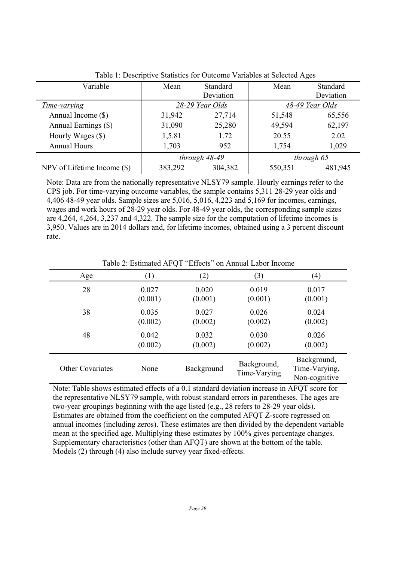| Variable                      | Mean            | <b>Standard</b> | Mean    | Standard        |
|-------------------------------|-----------------|-----------------|---------|-----------------|
|                               |                 | Deviation       |         | Deviation       |
| Time-varying                  | 28-29 Year Olds |                 |         | 48-49 Year Olds |
| Annual Income (\$)            | 31,942          | 27,714          | 51,548  | 65,556          |
| Annual Earnings (\$)          | 31,090          | 25,280          | 49,594  | 62,197          |
| Hourly Wages (\$)             | 1,5.81          | 1.72            | 20.55   | 2.02            |
| <b>Annual Hours</b>           | 1,703           | 952             | 1,754   | 1,029           |
|                               | through 48-49   |                 |         | through 65      |
| NPV of Lifetime Income $(\$)$ | 383,292         | 304,382         | 550,351 | 481,945         |

Table 1: Descriptive Statistics for Outcome Variables at Selected Ages

Note: Data are from the nationally representative NLSY79 sample. Hourly earnings refer to the CPS job. For time-varying outcome variables, the sample contains 5,311 28-29 year olds and 4,406 48-49 year olds. Sample sizes are 5,016, 5,016, 4,223 and 5,169 for incomes, earnings, wages and work hours of 28-29 year olds. For 48-49 year olds, the corresponding sample sizes are 4,264, 4,264, 3,237 and 4,322. The sample size for the computation of lifetime incomes is 3,950. Values are in 2014 dollars and, for lifetime incomes, obtained using a 3 percent discount rate.

| Age                     | $\left(1\right)$ | (2)        | (3)                         | $\left( 4\right)$                             |
|-------------------------|------------------|------------|-----------------------------|-----------------------------------------------|
| 28                      | 0.027            | 0.020      | 0.019                       | 0.017                                         |
|                         | (0.001)          | (0.001)    | (0.001)                     | (0.001)                                       |
| 38                      | 0.035            | 0.027      | 0.026                       | 0.024                                         |
|                         | (0.002)          | (0.002)    | (0.002)                     | (0.002)                                       |
| 48                      | 0.042            | 0.032      | 0.030                       | 0.026                                         |
|                         | (0.002)          | (0.002)    | (0.002)                     | (0.002)                                       |
| <b>Other Covariates</b> | None             | Background | Background,<br>Time-Varying | Background,<br>Time-Varying,<br>Non-cognitive |

Table 2: Estimated AFQT "Effects" on Annual Labor Income

Note: Table shows estimated effects of a 0.1 standard deviation increase in AFQT score for the representative NLSY79 sample, with robust standard errors in parentheses. The ages are two-year groupings beginning with the age listed (e.g., 28 refers to 28-29 year olds). Estimates are obtained from the coefficient on the computed AFQT Z-score regressed on annual incomes (including zeros). These estimates are then divided by the dependent variable mean at the specified age. Multiplying these estimates by 100% gives percentage changes. Supplementary characteristics (other than AFQT) are shown at the bottom of the table. Models (2) through (4) also include survey year fixed-effects.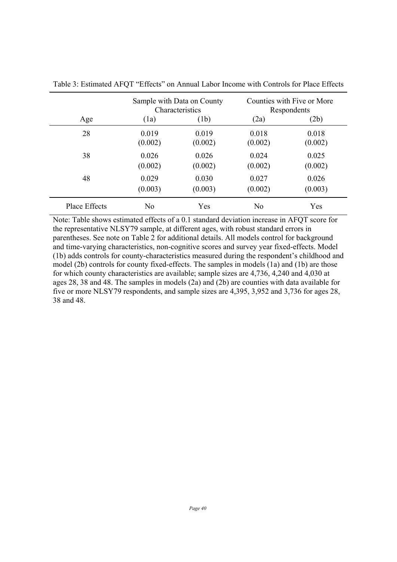|               | Sample with Data on County<br>Characteristics |         | Counties with Five or More<br>Respondents |         |  |
|---------------|-----------------------------------------------|---------|-------------------------------------------|---------|--|
| Age           | (1a)                                          | (1b)    | (2a)                                      | (2b)    |  |
| 28            | 0.019                                         | 0.019   | 0.018                                     | 0.018   |  |
|               | (0.002)                                       | (0.002) | (0.002)                                   | (0.002) |  |
| 38            | 0.026                                         | 0.026   | 0.024                                     | 0.025   |  |
|               | (0.002)                                       | (0.002) | (0.002)                                   | (0.002) |  |
| 48            | 0.029                                         | 0.030   | 0.027                                     | 0.026   |  |
|               | (0.003)                                       | (0.003) | (0.002)                                   | (0.003) |  |
| Place Effects | No                                            | Yes     | N <sub>0</sub>                            | Yes     |  |

Table 3: Estimated AFQT "Effects" on Annual Labor Income with Controls for Place Effects

Note: Table shows estimated effects of a 0.1 standard deviation increase in AFQT score for the representative NLSY79 sample, at different ages, with robust standard errors in parentheses. See note on Table 2 for additional details. All models control for background and time-varying characteristics, non-cognitive scores and survey year fixed-effects. Model (1b) adds controls for county-characteristics measured during the respondent's childhood and model (2b) controls for county fixed-effects. The samples in models (1a) and (1b) are those for which county characteristics are available; sample sizes are 4,736, 4,240 and 4,030 at ages 28, 38 and 48. The samples in models (2a) and (2b) are counties with data available for five or more NLSY79 respondents, and sample sizes are 4,395, 3,952 and 3,736 for ages 28, 38 and 48.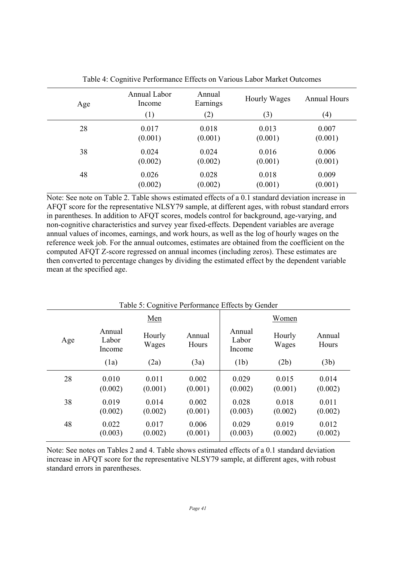| Age | Annual Labor<br>Income | Annual<br>Earnings | Hourly Wages | <b>Annual Hours</b> |
|-----|------------------------|--------------------|--------------|---------------------|
|     | (1)                    | (2)                | (3)          | $\left( 4\right)$   |
| 28  | 0.017                  | 0.018              | 0.013        | 0.007               |
|     | (0.001)                | (0.001)            | (0.001)      | (0.001)             |
| 38  | 0.024                  | 0.024              | 0.016        | 0.006               |
|     | (0.002)                | (0.002)            | (0.001)      | (0.001)             |
| 48  | 0.026                  | 0.028              | 0.018        | 0.009               |
|     | (0.002)                | (0.002)            | (0.001)      | (0.001)             |

Table 4: Cognitive Performance Effects on Various Labor Market Outcomes

Note: See note on Table 2. Table shows estimated effects of a 0.1 standard deviation increase in AFQT score for the representative NLSY79 sample, at different ages, with robust standard errors in parentheses. In addition to AFQT scores, models control for background, age-varying, and non-cognitive characteristics and survey year fixed-effects. Dependent variables are average annual values of incomes, earnings, and work hours, as well as the log of hourly wages on the reference week job. For the annual outcomes, estimates are obtained from the coefficient on the computed AFQT Z-score regressed on annual incomes (including zeros). These estimates are then converted to percentage changes by dividing the estimated effect by the dependent variable mean at the specified age.

| Table 5: Cognitive Performance Effects by Gender |                           |                  |                  |                           |                  |                  |  |  |
|--------------------------------------------------|---------------------------|------------------|------------------|---------------------------|------------------|------------------|--|--|
|                                                  |                           | Men              |                  |                           | Women            |                  |  |  |
| Age                                              | Annual<br>Labor<br>Income | Hourly<br>Wages  | Annual<br>Hours  | Annual<br>Labor<br>Income | Hourly<br>Wages  | Annual<br>Hours  |  |  |
|                                                  | (1a)                      | (2a)             | (3a)             | (1b)                      | (2b)             | (3b)             |  |  |
| 28                                               | 0.010<br>(0.002)          | 0.011<br>(0.001) | 0.002<br>(0.001) | 0.029<br>(0.002)          | 0.015<br>(0.001) | 0.014<br>(0.002) |  |  |
| 38                                               | 0.019<br>(0.002)          | 0.014<br>(0.002) | 0.002<br>(0.001) | 0.028<br>(0.003)          | 0.018<br>(0.002) | 0.011<br>(0.002) |  |  |
| 48                                               | 0.022<br>(0.003)          | 0.017<br>(0.002) | 0.006<br>(0.001) | 0.029<br>(0.003)          | 0.019<br>(0.002) | 0.012<br>(0.002) |  |  |

Note: See notes on Tables 2 and 4. Table shows estimated effects of a 0.1 standard deviation increase in AFQT score for the representative NLSY79 sample, at different ages, with robust standard errors in parentheses.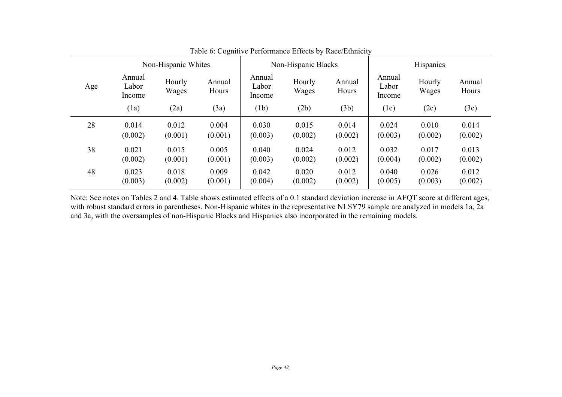| Non-Hispanic Whites |                           |                 | Non-Hispanic Blacks |                           |                 | <b>Hispanics</b> |                           |                 |                 |
|---------------------|---------------------------|-----------------|---------------------|---------------------------|-----------------|------------------|---------------------------|-----------------|-----------------|
| Age                 | Annual<br>Labor<br>Income | Hourly<br>Wages | Annual<br>Hours     | Annual<br>Labor<br>Income | Hourly<br>Wages | Annual<br>Hours  | Annual<br>Labor<br>Income | Hourly<br>Wages | Annual<br>Hours |
|                     | (1a)                      | (2a)            | (3a)                | (1b)                      | (2b)            | (3b)             | (1c)                      | (2c)            | (3c)            |
| 28                  | 0.014                     | 0.012           | 0.004               | 0.030                     | 0.015           | 0.014            | 0.024                     | 0.010           | 0.014           |
|                     | (0.002)                   | (0.001)         | (0.001)             | (0.003)                   | (0.002)         | (0.002)          | (0.003)                   | (0.002)         | (0.002)         |
| 38                  | 0.021                     | 0.015           | 0.005               | 0.040                     | 0.024           | 0.012            | 0.032                     | 0.017           | 0.013           |
|                     | (0.002)                   | (0.001)         | (0.001)             | (0.003)                   | (0.002)         | (0.002)          | (0.004)                   | (0.002)         | (0.002)         |
| 48                  | 0.023                     | 0.018           | 0.009               | 0.042                     | 0.020           | 0.012            | 0.040                     | 0.026           | 0.012           |
|                     | (0.003)                   | (0.002)         | (0.001)             | (0.004)                   | (0.002)         | (0.002)          | (0.005)                   | (0.003)         | (0.002)         |

Table 6: Cognitive Performance Effects by Race/Ethnicity

Note: See notes on Tables 2 and 4. Table shows estimated effects of a 0.1 standard deviation increase in AFQT score at different ages, with robust standard errors in parentheses. Non-Hispanic whites in the representative NLSY79 sample are analyzed in models 1a, 2a and 3a, with the oversamples of non-Hispanic Blacks and Hispanics also incorporated in the remaining models.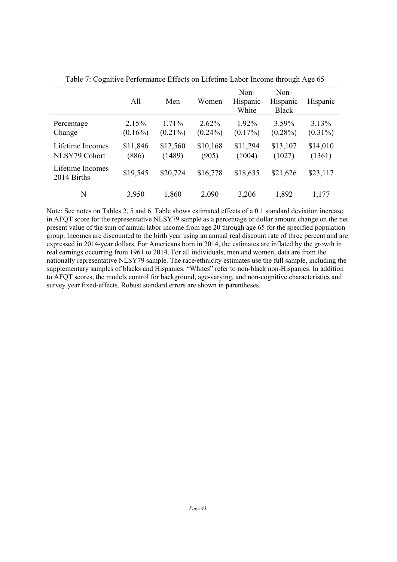|                                   | All                 | Men                 | Women                  | Non-<br>Hispanic<br>White | Non-<br>Hispanic<br><b>Black</b> | Hispanic            |
|-----------------------------------|---------------------|---------------------|------------------------|---------------------------|----------------------------------|---------------------|
| Percentage<br>Change              | 2.15%<br>$(0.16\%)$ | 1.71%<br>$(0.21\%)$ | $2.62\%$<br>$(0.24\%)$ | 1.92%<br>$(0.17\%)$       | 3.59%<br>$(0.28\%)$              | 3.13%<br>$(0.31\%)$ |
| Lifetime Incomes<br>NLSY79 Cohort | \$11,846<br>(886)   | \$12,560<br>(1489)  | \$10,168<br>(905)      | \$11,294<br>(1004)        | \$13,107<br>(1027)               | \$14,010<br>(1361)  |
| Lifetime Incomes<br>2014 Births   | \$19,545            | \$20,724            | \$16,778               | \$18,635                  | \$21,626                         | \$23,117            |
| N                                 | 3,950               | 1,860               | 2,090                  | 3,206                     | 1,892                            | 1,177               |

Table 7: Cognitive Performance Effects on Lifetime Labor Income through Age 65

Note: See notes on Tables 2, 5 and 6. Table shows estimated effects of a 0.1 standard deviation increase in AFQT score for the representative NLSY79 sample as a percentage or dollar amount change on the net present value of the sum of annual labor income from age 20 through age 65 for the specified population group. Incomes are discounted to the birth year using an annual real discount rate of three percent and are expressed in 2014-year dollars. For Americans born in 2014, the estimates are inflated by the growth in real earnings occurring from 1961 to 2014. For all individuals, men and women, data are from the nationally representative NLSY79 sample. The race/ethnicity estimates use the full sample, including the supplementary samples of blacks and Hispanics. "Whites" refer to non-black non-Hispanics. In addition to AFQT scores, the models control for background, age-varying, and non-cognitive characteristics and survey year fixed-effects. Robust standard errors are shown in parentheses.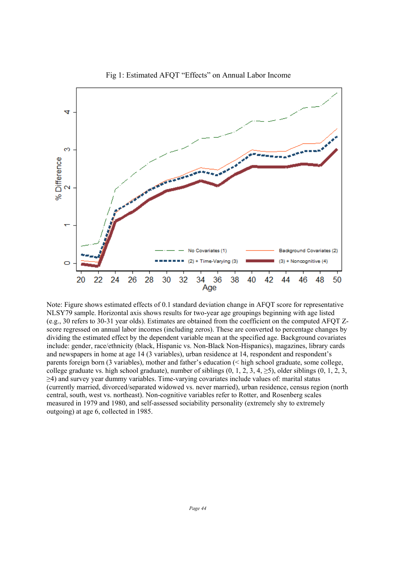

Fig 1: Estimated AFQT "Effects" on Annual Labor Income

Note: Figure shows estimated effects of 0.1 standard deviation change in AFQT score for representative NLSY79 sample. Horizontal axis shows results for two-year age groupings beginning with age listed (e.g., 30 refers to 30-31 year olds). Estimates are obtained from the coefficient on the computed AFQT Zscore regressed on annual labor incomes (including zeros). These are converted to percentage changes by dividing the estimated effect by the dependent variable mean at the specified age. Background covariates include: gender, race/ethnicity (black, Hispanic vs. Non-Black Non-Hispanics), magazines, library cards and newspapers in home at age 14 (3 variables), urban residence at 14, respondent and respondent's parents foreign born (3 variables), mother and father's education (< high school graduate, some college, college graduate vs. high school graduate), number of siblings  $(0, 1, 2, 3, 4, \ge 5)$ , older siblings  $(0, 1, 2, 3, \ge 5)$ ≥4) and survey year dummy variables. Time-varying covariates include values of: marital status (currently married, divorced/separated widowed vs. never married), urban residence, census region (north central, south, west vs. northeast). Non-cognitive variables refer to Rotter, and Rosenberg scales measured in 1979 and 1980, and self-assessed sociability personality (extremely shy to extremely outgoing) at age 6, collected in 1985.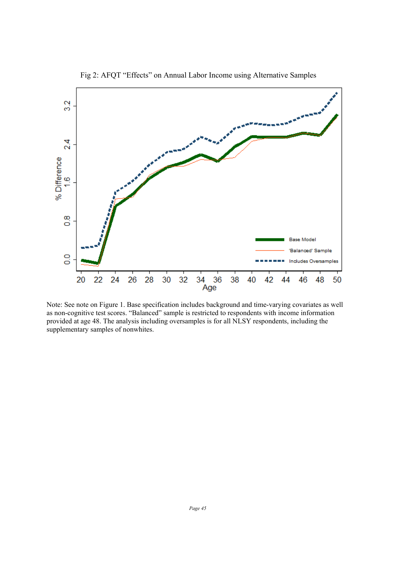

Fig 2: AFQT "Effects" on Annual Labor Income using Alternative Samples

 Note: See note on Figure 1. Base specification includes background and time-varying covariates as well as non-cognitive test scores. "Balanced" sample is restricted to respondents with income information provided at age 48. The analysis including oversamples is for all NLSY respondents, including the supplementary samples of nonwhites.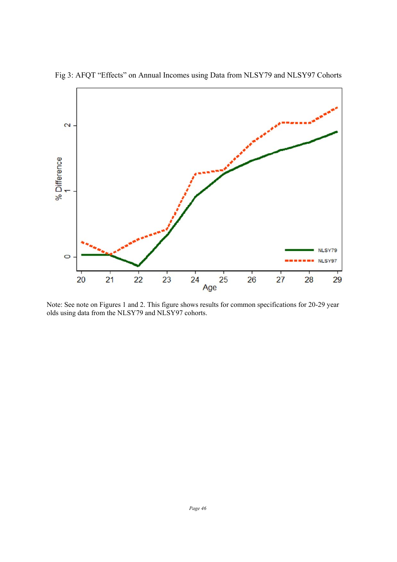

Fig 3: AFQT "Effects" on Annual Incomes using Data from NLSY79 and NLSY97 Cohorts

Note: See note on Figures 1 and 2. This figure shows results for common specifications for 20-29 year olds using data from the NLSY79 and NLSY97 cohorts.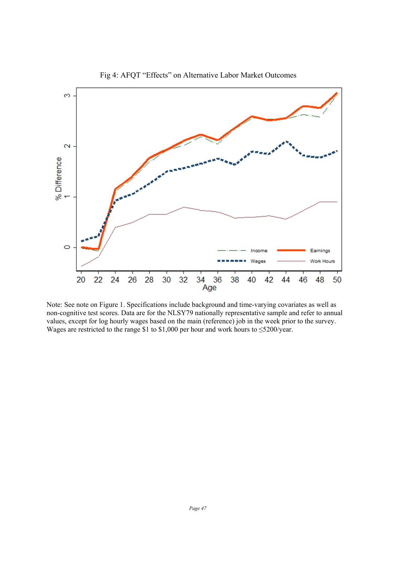

Fig 4: AFQT "Effects" on Alternative Labor Market Outcomes

Note: See note on Figure 1. Specifications include background and time-varying covariates as well as non-cognitive test scores. Data are for the NLSY79 nationally representative sample and refer to annual values, except for log hourly wages based on the main (reference) job in the week prior to the survey. Wages are restricted to the range \$1 to \$1,000 per hour and work hours to ≤5200/year.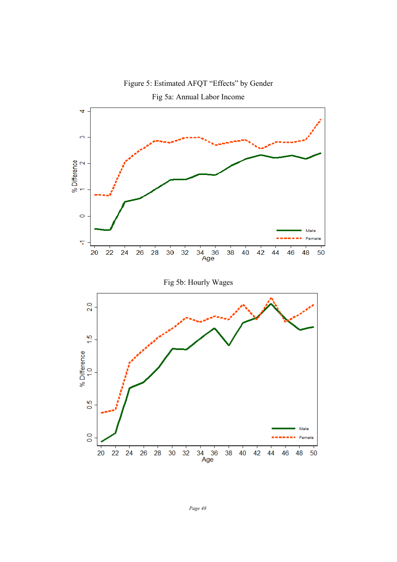

Figure 5: Estimated AFQT "Effects" by Gender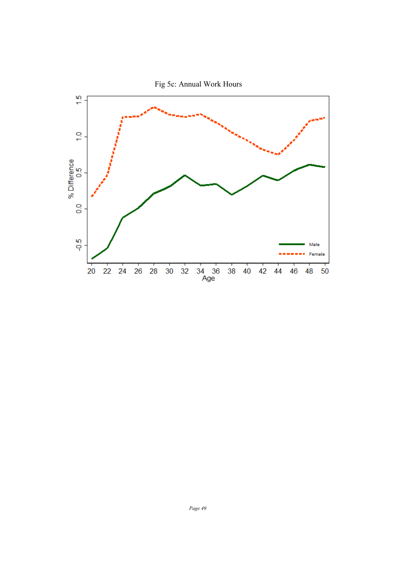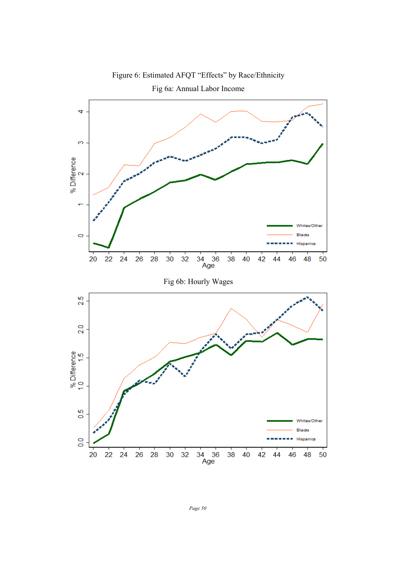

Figure 6: Estimated AFQT "Effects" by Race/Ethnicity

*Page 50*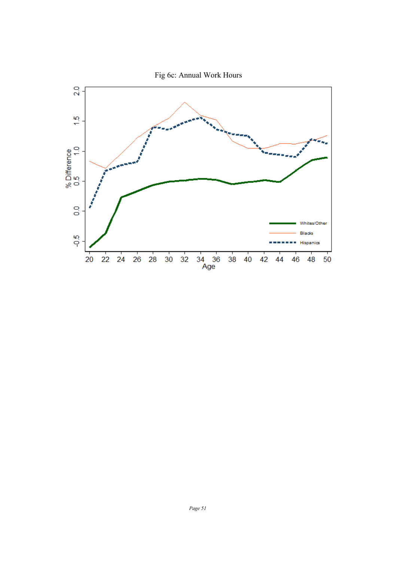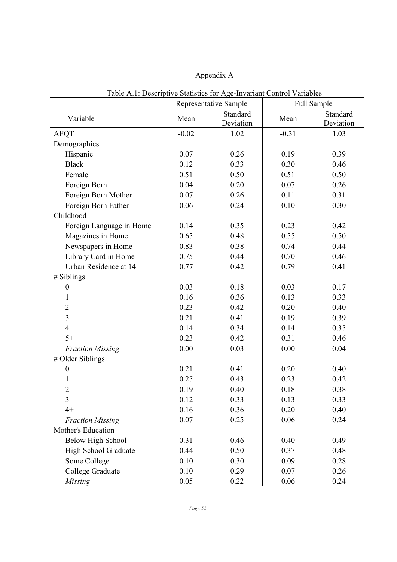### Appendix A

|                             |         | $\ldots$<br>Representative Sample |         | Full Sample |
|-----------------------------|---------|-----------------------------------|---------|-------------|
|                             | Mean    | Standard                          | Mean    | Standard    |
| Variable                    |         | Deviation                         |         | Deviation   |
| <b>AFQT</b>                 | $-0.02$ | 1.02                              | $-0.31$ | 1.03        |
| Demographics                |         |                                   |         |             |
| Hispanic                    | 0.07    | 0.26                              | 0.19    | 0.39        |
| <b>Black</b>                | 0.12    | 0.33                              | 0.30    | 0.46        |
| Female                      | 0.51    | 0.50                              | 0.51    | 0.50        |
| Foreign Born                | 0.04    | 0.20                              | 0.07    | 0.26        |
| Foreign Born Mother         | 0.07    | 0.26                              | 0.11    | 0.31        |
| Foreign Born Father         | 0.06    | 0.24                              | 0.10    | 0.30        |
| Childhood                   |         |                                   |         |             |
| Foreign Language in Home    | 0.14    | 0.35                              | 0.23    | 0.42        |
| Magazines in Home           | 0.65    | 0.48                              | 0.55    | 0.50        |
| Newspapers in Home          | 0.83    | 0.38                              | 0.74    | 0.44        |
| Library Card in Home        | 0.75    | 0.44                              | 0.70    | 0.46        |
| Urban Residence at 14       | 0.77    | 0.42                              | 0.79    | 0.41        |
| # Siblings                  |         |                                   |         |             |
| $\boldsymbol{0}$            | 0.03    | 0.18                              | 0.03    | 0.17        |
| 1                           | 0.16    | 0.36                              | 0.13    | 0.33        |
| $\overline{2}$              | 0.23    | 0.42                              | 0.20    | 0.40        |
| $\overline{\mathbf{3}}$     | 0.21    | 0.41                              | 0.19    | 0.39        |
| $\overline{4}$              | 0.14    | 0.34                              | 0.14    | 0.35        |
| $5+$                        | 0.23    | 0.42                              | 0.31    | 0.46        |
| <b>Fraction Missing</b>     | 0.00    | 0.03                              | 0.00    | 0.04        |
| # Older Siblings            |         |                                   |         |             |
| $\boldsymbol{0}$            | 0.21    | 0.41                              | 0.20    | 0.40        |
| 1                           | 0.25    | 0.43                              | 0.23    | 0.42        |
| $\overline{2}$              | 0.19    | 0.40                              | 0.18    | 0.38        |
| 3                           | 0.12    | 0.33                              | 0.13    | 0.33        |
| $4+$                        | 0.16    | 0.36                              | 0.20    | 0.40        |
| <b>Fraction Missing</b>     | 0.07    | 0.25                              | 0.06    | 0.24        |
| Mother's Education          |         |                                   |         |             |
| <b>Below High School</b>    | 0.31    | 0.46                              | 0.40    | 0.49        |
| <b>High School Graduate</b> | 0.44    | 0.50                              | 0.37    | 0.48        |
| Some College                | 0.10    | 0.30                              | 0.09    | 0.28        |
| College Graduate            | 0.10    | 0.29                              | 0.07    | 0.26        |
| Missing                     | 0.05    | 0.22                              | 0.06    | 0.24        |

Table A.1: Descriptive Statistics for Age-Invariant Control Variables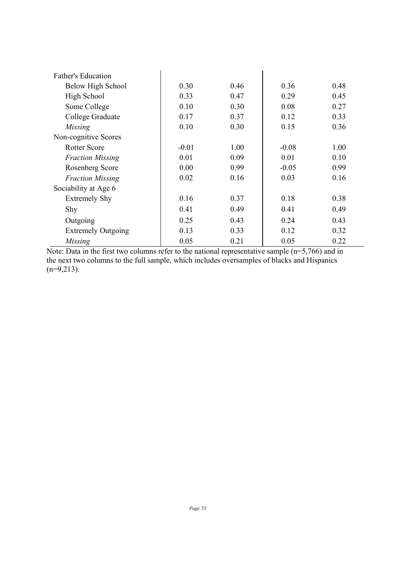| <b>Father's Education</b> |         |      |         |      |
|---------------------------|---------|------|---------|------|
| Below High School         | 0.30    | 0.46 | 0.36    | 0.48 |
| High School               | 0.33    | 0.47 | 0.29    | 0.45 |
| Some College              | 0.10    | 0.30 | 0.08    | 0.27 |
| College Graduate          | 0.17    | 0.37 | 0.12    | 0.33 |
| Missing                   | 0.10    | 0.30 | 0.15    | 0.36 |
| Non-cognitive Scores      |         |      |         |      |
| Rotter Score              | $-0.01$ | 1.00 | $-0.08$ | 1.00 |
| <b>Fraction Missing</b>   | 0.01    | 0.09 | 0.01    | 0.10 |
| Rosenberg Score           | 0.00    | 0.99 | $-0.05$ | 0.99 |
| <b>Fraction Missing</b>   | 0.02    | 0.16 | 0.03    | 0.16 |
| Sociability at Age 6      |         |      |         |      |
| <b>Extremely Shy</b>      | 0.16    | 0.37 | 0.18    | 0.38 |
| Shy                       | 0.41    | 0.49 | 0.41    | 0.49 |
| Outgoing                  | 0.25    | 0.43 | 0.24    | 0.43 |
| <b>Extremely Outgoing</b> | 0.13    | 0.33 | 0.12    | 0.32 |
| Missing                   | 0.05    | 0.21 | 0.05    | 0.22 |

Note: Data in the first two columns refer to the national representative sample (n=5,766) and in the next two columns to the full sample, which includes oversamples of blacks and Hispanics  $(n=9,213)$ .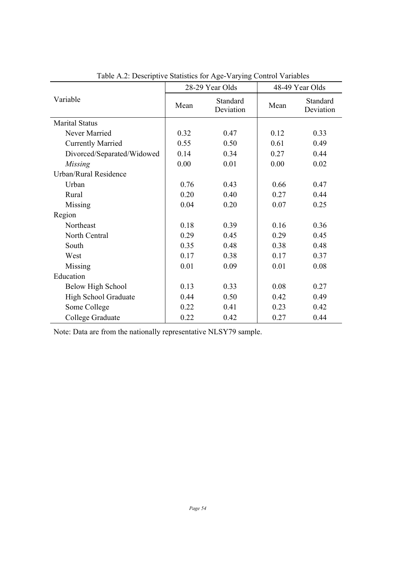|                            |      | 28-29 Year Olds       | 48-49 Year Olds |                       |
|----------------------------|------|-----------------------|-----------------|-----------------------|
| Variable                   | Mean | Standard<br>Deviation | Mean            | Standard<br>Deviation |
| <b>Marital Status</b>      |      |                       |                 |                       |
| Never Married              | 0.32 | 0.47                  | 0.12            | 0.33                  |
| <b>Currently Married</b>   | 0.55 | 0.50                  | 0.61            | 0.49                  |
| Divorced/Separated/Widowed | 0.14 | 0.34                  | 0.27            | 0.44                  |
| Missing                    | 0.00 | 0.01                  | 0.00            | 0.02                  |
| Urban/Rural Residence      |      |                       |                 |                       |
| Urban                      | 0.76 | 0.43                  | 0.66            | 0.47                  |
| Rural                      | 0.20 | 0.40                  | 0.27            | 0.44                  |
| Missing                    | 0.04 | 0.20                  | 0.07            | 0.25                  |
| Region                     |      |                       |                 |                       |
| Northeast                  | 0.18 | 0.39                  | 0.16            | 0.36                  |
| North Central              | 0.29 | 0.45                  | 0.29            | 0.45                  |
| South                      | 0.35 | 0.48                  | 0.38            | 0.48                  |
| West                       | 0.17 | 0.38                  | 0.17            | 0.37                  |
| Missing                    | 0.01 | 0.09                  | 0.01            | 0.08                  |
| Education                  |      |                       |                 |                       |
| Below High School          | 0.13 | 0.33                  | 0.08            | 0.27                  |
| High School Graduate       | 0.44 | 0.50                  | 0.42            | 0.49                  |
| Some College               | 0.22 | 0.41                  | 0.23            | 0.42                  |
| College Graduate           | 0.22 | 0.42                  | 0.27            | 0.44                  |

Table A.2: Descriptive Statistics for Age-Varying Control Variables

Note: Data are from the nationally representative NLSY79 sample.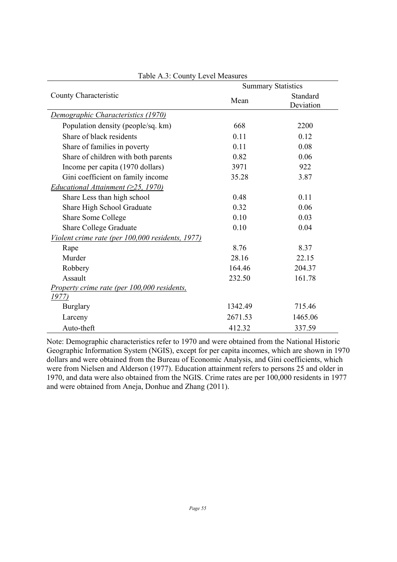|                                                             | <b>Summary Statistics</b> |                       |  |  |
|-------------------------------------------------------------|---------------------------|-----------------------|--|--|
| County Characteristic                                       | Mean                      | Standard<br>Deviation |  |  |
| Demographic Characteristics (1970)                          |                           |                       |  |  |
| Population density (people/sq. km)                          | 668                       | 2200                  |  |  |
| Share of black residents                                    | 0.11                      | 0.12                  |  |  |
| Share of families in poverty                                | 0.11                      | 0.08                  |  |  |
| Share of children with both parents                         | 0.82                      | 0.06                  |  |  |
| Income per capita (1970 dollars)                            | 3971                      | 922                   |  |  |
| Gini coefficient on family income                           | 35.28                     | 3.87                  |  |  |
| <i>Educational Attainment (<math>\geq</math>25, 1970)</i>   |                           |                       |  |  |
| Share Less than high school                                 | 0.48                      | 0.11                  |  |  |
| Share High School Graduate                                  | 0.32                      | 0.06                  |  |  |
| <b>Share Some College</b>                                   | 0.10                      | 0.03                  |  |  |
| <b>Share College Graduate</b>                               | 0.10                      | 0.04                  |  |  |
| Violent crime rate (per 100,000 residents, 1977)            |                           |                       |  |  |
| Rape                                                        | 8.76                      | 8.37                  |  |  |
| Murder                                                      | 28.16                     | 22.15                 |  |  |
| Robbery                                                     | 164.46                    | 204.37                |  |  |
| Assault                                                     | 232.50                    | 161.78                |  |  |
| <i>Property crime rate (per 100,000 residents,</i><br>1977) |                           |                       |  |  |
| <b>Burglary</b>                                             | 1342.49                   | 715.46                |  |  |
| Larceny                                                     | 2671.53                   | 1465.06               |  |  |
| Auto-theft                                                  | 412.32                    | 337.59                |  |  |

Table A.3: County Level Measures

Note: Demographic characteristics refer to 1970 and were obtained from the National Historic Geographic Information System (NGIS), except for per capita incomes, which are shown in 1970 dollars and were obtained from the Bureau of Economic Analysis, and Gini coefficients, which were from Nielsen and Alderson (1977). Education attainment refers to persons 25 and older in 1970, and data were also obtained from the NGIS. Crime rates are per 100,000 residents in 1977 and were obtained from Aneja, Donhue and Zhang (2011).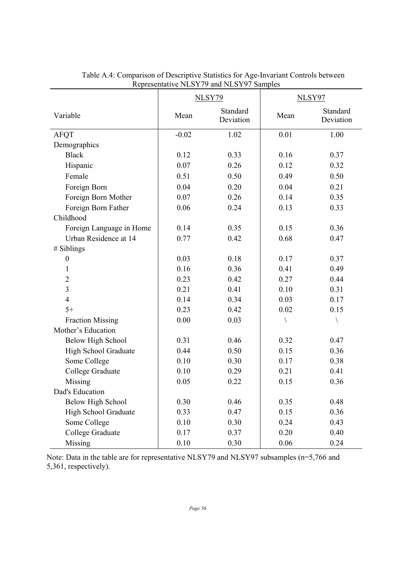|                          | <b>NLSY79</b> |                       | NLSY97       |                       |
|--------------------------|---------------|-----------------------|--------------|-----------------------|
| Variable                 | Mean          | Standard<br>Deviation | Mean         | Standard<br>Deviation |
| <b>AFQT</b>              | $-0.02$       | 1.02                  | 0.01         | 1.00                  |
| Demographics             |               |                       |              |                       |
| <b>Black</b>             | 0.12          | 0.33                  | 0.16         | 0.37                  |
| Hispanic                 | 0.07          | 0.26                  | 0.12         | 0.32                  |
| Female                   | 0.51          | 0.50                  | 0.49         | 0.50                  |
| Foreign Born             | 0.04          | 0.20                  | 0.04         | 0.21                  |
| Foreign Born Mother      | 0.07          | 0.26                  | 0.14         | 0.35                  |
| Foreign Born Father      | 0.06          | 0.24                  | 0.13         | 0.33                  |
| Childhood                |               |                       |              |                       |
| Foreign Language in Home | 0.14          | 0.35                  | 0.15         | 0.36                  |
| Urban Residence at 14    | 0.77          | 0.42                  | 0.68         | 0.47                  |
| # Siblings               |               |                       |              |                       |
| $\boldsymbol{0}$         | 0.03          | 0.18                  | 0.17         | 0.37                  |
| 1                        | 0.16          | 0.36                  | 0.41         | 0.49                  |
| $\overline{2}$           | 0.23          | 0.42                  | 0.27         | 0.44                  |
| $\overline{3}$           | 0.21          | 0.41                  | 0.10         | 0.31                  |
| $\overline{4}$           | 0.14          | 0.34                  | 0.03         | 0.17                  |
| $5+$                     | 0.23          | 0.42                  | 0.02         | 0.15                  |
| <b>Fraction Missing</b>  | 0.00          | 0.03                  | $\backslash$ | $\backslash$          |
| Mother's Education       |               |                       |              |                       |
| <b>Below High School</b> | 0.31          | 0.46                  | 0.32         | 0.47                  |
| High School Graduate     | 0.44          | 0.50                  | 0.15         | 0.36                  |
| Some College             | 0.10          | 0.30                  | 0.17         | 0.38                  |
| College Graduate         | 0.10          | 0.29                  | 0.21         | 0.41                  |
| Missing                  | 0.05          | 0.22                  | 0.15         | 0.36                  |
| Dad's Education          |               |                       |              |                       |
| <b>Below High School</b> | 0.30          | 0.46                  | 0.35         | 0.48                  |
| High School Graduate     | 0.33          | 0.47                  | 0.15         | 0.36                  |
| Some College             | 0.10          | 0.30                  | 0.24         | 0.43                  |
| College Graduate         | 0.17          | 0.37                  | 0.20         | 0.40                  |
| Missing                  | 0.10          | 0.30                  | 0.06         | 0.24                  |

Table A.4: Comparison of Descriptive Statistics for Age-Invariant Controls between Representative NLSY79 and NLSY97 Samples

Note: Data in the table are for representative NLSY79 and NLSY97 subsamples (n=5,766 and 5,361, respectively).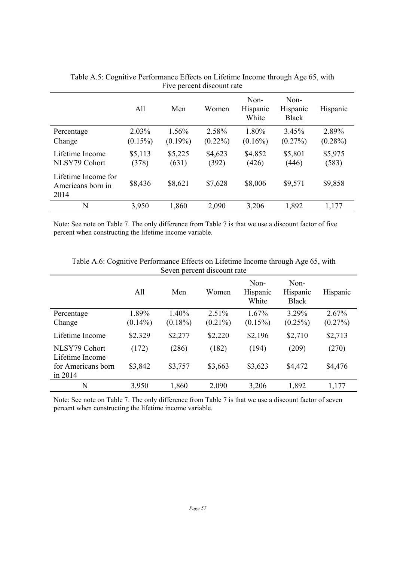|                                                  | All              | Men              | Women            | Non-<br>Hispanic<br>White | Non-<br>Hispanic<br><b>Black</b> | Hispanic         |
|--------------------------------------------------|------------------|------------------|------------------|---------------------------|----------------------------------|------------------|
| Percentage                                       | 2.03%            | 1.56%            | 2.58%            | 1.80%                     | 3.45%                            | 2.89%            |
| Change                                           | $(0.15\%)$       | $(0.19\%)$       | $(0.22\%)$       | $(0.16\%)$                | $(0.27\%)$                       | $(0.28\%)$       |
| Lifetime Income<br>NLSY79 Cohort                 | \$5,113<br>(378) | \$5,225<br>(631) | \$4,623<br>(392) | \$4,852<br>(426)          | \$5,801<br>(446)                 | \$5,975<br>(583) |
| Lifetime Income for<br>Americans born in<br>2014 | \$8,436          | \$8,621          | \$7,628          | \$8,006                   | \$9,571                          | \$9,858          |
| N                                                | 3,950            | 1,860            | 2,090            | 3,206                     | 1,892                            | 1,177            |

Table A.5: Cognitive Performance Effects on Lifetime Income through Age 65, with Five percent discount rate

Note: See note on Table 7. The only difference from Table 7 is that we use a discount factor of five percent when constructing the lifetime income variable.

|                                  |                     |                     | seven percent discount rate |                           |                                  |                     |
|----------------------------------|---------------------|---------------------|-----------------------------|---------------------------|----------------------------------|---------------------|
|                                  | All                 | Men                 | Women                       | Non-<br>Hispanic<br>White | Non-<br>Hispanic<br><b>Black</b> | Hispanic            |
| Percentage<br>Change             | 1.89%<br>$(0.14\%)$ | 1.40%<br>$(0.18\%)$ | 2.51%<br>$(0.21\%)$         | 1.67%<br>$(0.15\%)$       | 3.29%<br>$(0.25\%)$              | 2.67%<br>$(0.27\%)$ |
| Lifetime Income                  | \$2,329             | \$2,277             | \$2,220                     | \$2,196                   | \$2,710                          | \$2,713             |
| NLSY79 Cohort<br>Lifetime Income | (172)               | (286)               | (182)                       | (194)                     | (209)                            | (270)               |
| for Americans born<br>in 2014    | \$3,842             | \$3,757             | \$3,663                     | \$3,623                   | \$4,472                          | \$4,476             |
| N                                | 3,950               | 1,860               | 2,090                       | 3,206                     | 1,892                            | 1,177               |

Table A.6: Cognitive Performance Effects on Lifetime Income through Age 65, with Seven percent discount rate

Note: See note on Table 7. The only difference from Table 7 is that we use a discount factor of seven percent when constructing the lifetime income variable.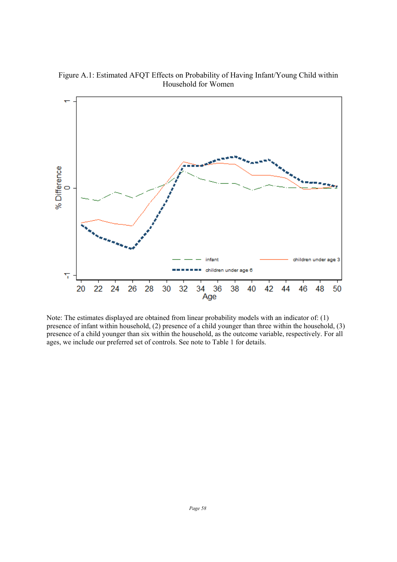Figure A.1: Estimated AFQT Effects on Probability of Having Infant/Young Child within Household for Women



Note: The estimates displayed are obtained from linear probability models with an indicator of: (1) presence of infant within household, (2) presence of a child younger than three within the household, (3) presence of a child younger than six within the household, as the outcome variable, respectively. For all ages, we include our preferred set of controls. See note to Table 1 for details.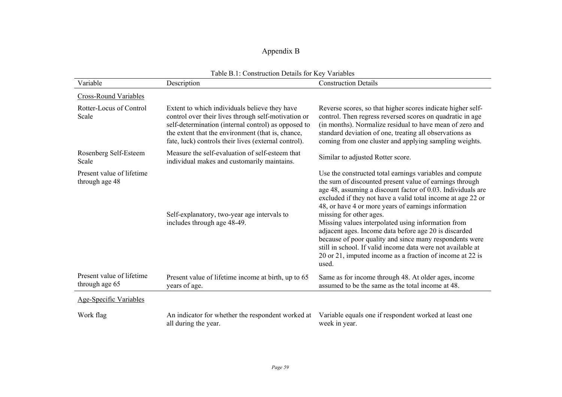### Appendix B

| Table B.1: Construction Details for Key Variables |                                                                                                                                                                                                                                                                          |                                                                                                                                                                                                                                                                                                                                                                                                                                                                                                                                                                                                                                                    |  |  |  |  |  |
|---------------------------------------------------|--------------------------------------------------------------------------------------------------------------------------------------------------------------------------------------------------------------------------------------------------------------------------|----------------------------------------------------------------------------------------------------------------------------------------------------------------------------------------------------------------------------------------------------------------------------------------------------------------------------------------------------------------------------------------------------------------------------------------------------------------------------------------------------------------------------------------------------------------------------------------------------------------------------------------------------|--|--|--|--|--|
| Variable                                          | Description                                                                                                                                                                                                                                                              | <b>Construction Details</b>                                                                                                                                                                                                                                                                                                                                                                                                                                                                                                                                                                                                                        |  |  |  |  |  |
| <b>Cross-Round Variables</b>                      |                                                                                                                                                                                                                                                                          |                                                                                                                                                                                                                                                                                                                                                                                                                                                                                                                                                                                                                                                    |  |  |  |  |  |
| Rotter-Locus of Control<br>Scale                  | Extent to which individuals believe they have<br>control over their lives through self-motivation or<br>self-determination (internal control) as opposed to<br>the extent that the environment (that is, chance,<br>fate, luck) controls their lives (external control). | Reverse scores, so that higher scores indicate higher self-<br>control. Then regress reversed scores on quadratic in age<br>(in months). Normalize residual to have mean of zero and<br>standard deviation of one, treating all observations as<br>coming from one cluster and applying sampling weights.                                                                                                                                                                                                                                                                                                                                          |  |  |  |  |  |
| Rosenberg Self-Esteem<br>Scale                    | Measure the self-evaluation of self-esteem that<br>individual makes and customarily maintains.                                                                                                                                                                           | Similar to adjusted Rotter score.                                                                                                                                                                                                                                                                                                                                                                                                                                                                                                                                                                                                                  |  |  |  |  |  |
| Present value of lifetime<br>through age 48       | Self-explanatory, two-year age intervals to<br>includes through age 48-49.                                                                                                                                                                                               | Use the constructed total earnings variables and compute<br>the sum of discounted present value of earnings through<br>age 48, assuming a discount factor of 0.03. Individuals are<br>excluded if they not have a valid total income at age 22 or<br>48, or have 4 or more years of earnings information<br>missing for other ages.<br>Missing values interpolated using information from<br>adjacent ages. Income data before age 20 is discarded<br>because of poor quality and since many respondents were<br>still in school. If valid income data were not available at<br>20 or 21, imputed income as a fraction of income at 22 is<br>used. |  |  |  |  |  |
| Present value of lifetime<br>through age 65       | Present value of lifetime income at birth, up to 65<br>years of age.                                                                                                                                                                                                     | Same as for income through 48. At older ages, income<br>assumed to be the same as the total income at 48.                                                                                                                                                                                                                                                                                                                                                                                                                                                                                                                                          |  |  |  |  |  |
| <b>Age-Specific Variables</b>                     |                                                                                                                                                                                                                                                                          |                                                                                                                                                                                                                                                                                                                                                                                                                                                                                                                                                                                                                                                    |  |  |  |  |  |
| Work flag                                         | An indicator for whether the respondent worked at<br>all during the year.                                                                                                                                                                                                | Variable equals one if respondent worked at least one<br>week in year.                                                                                                                                                                                                                                                                                                                                                                                                                                                                                                                                                                             |  |  |  |  |  |

| Table B.1: Construction Details for Key Variables |  |  |
|---------------------------------------------------|--|--|
|---------------------------------------------------|--|--|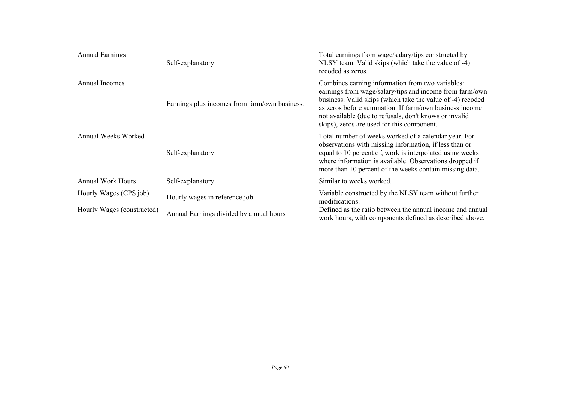| <b>Annual Earnings</b>     | Self-explanatory                              | Total earnings from wage/salary/tips constructed by<br>NLSY team. Valid skips (which take the value of -4)<br>recoded as zeros.                                                                                                                                                                                                             |  |  |
|----------------------------|-----------------------------------------------|---------------------------------------------------------------------------------------------------------------------------------------------------------------------------------------------------------------------------------------------------------------------------------------------------------------------------------------------|--|--|
| Annual Incomes             | Earnings plus incomes from farm/own business. | Combines earning information from two variables:<br>earnings from wage/salary/tips and income from farm/own<br>business. Valid skips (which take the value of -4) recoded<br>as zeros before summation. If farm/own business income<br>not available (due to refusals, don't knows or invalid<br>skips), zeros are used for this component. |  |  |
| Annual Weeks Worked        | Self-explanatory                              | Total number of weeks worked of a calendar year. For<br>observations with missing information, if less than or<br>equal to 10 percent of, work is interpolated using weeks<br>where information is available. Observations dropped if<br>more than 10 percent of the weeks contain missing data.                                            |  |  |
| <b>Annual Work Hours</b>   | Self-explanatory                              | Similar to weeks worked.                                                                                                                                                                                                                                                                                                                    |  |  |
| Hourly Wages (CPS job)     | Hourly wages in reference job.                | Variable constructed by the NLSY team without further<br>modifications.                                                                                                                                                                                                                                                                     |  |  |
| Hourly Wages (constructed) | Annual Earnings divided by annual hours       | Defined as the ratio between the annual income and annual<br>work hours, with components defined as described above.                                                                                                                                                                                                                        |  |  |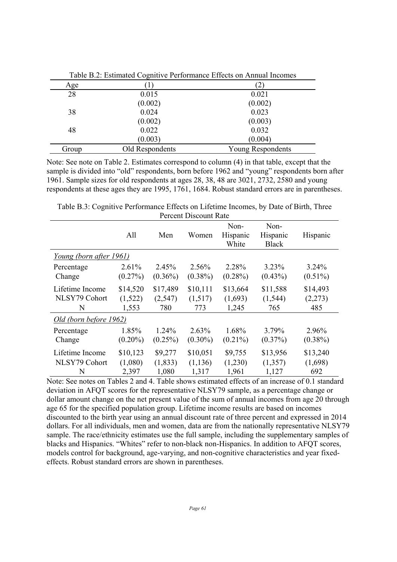|       | $\tilde{}$      |                          |
|-------|-----------------|--------------------------|
| Age   |                 | $\overline{2}$           |
| 28    | 0.015           | 0.021                    |
|       | (0.002)         | (0.002)                  |
| 38    | 0.024           | 0.023                    |
|       | (0.002)         | (0.003)                  |
| 48    | 0.022           | 0.032                    |
|       | (0.003)         | (0.004)                  |
| Group | Old Respondents | <b>Young Respondents</b> |

Table B.2: Estimated Cognitive Performance Effects on Annual Incomes

Note: See note on Table 2. Estimates correspond to column (4) in that table, except that the sample is divided into "old" respondents, born before 1962 and "young" respondents born after 1961. Sample sizes for old respondents at ages 28, 38, 48 are 3021, 2732, 2580 and young respondents at these ages they are 1995, 1761, 1684. Robust standard errors are in parentheses.

Table B.3: Cognitive Performance Effects on Lifetime Incomes, by Date of Birth, Three Percent Discount Rate

|                         | All        | Men        | Women      | Non-<br>Hispanic<br>White | Non-<br>Hispanic<br><b>Black</b> | Hispanic   |  |
|-------------------------|------------|------------|------------|---------------------------|----------------------------------|------------|--|
| Young (born after 1961) |            |            |            |                           |                                  |            |  |
| Percentage              | 2.61%      | 2.45%      | 2.56%      | 2.28%                     | 3.23%                            | $3.24\%$   |  |
| Change                  | $(0.27\%)$ | $(0.36\%)$ | $(0.38\%)$ | $(0.28\%)$                | $(0.43\%)$                       | $(0.51\%)$ |  |
| Lifetime Income         | \$14,520   | \$17,489   | \$10,111   | \$13,664                  | \$11,588                         | \$14,493   |  |
| NLSY79 Cohort           | (1,522)    | (2,547)    | (1,517)    | (1,693)                   | (1, 544)                         | (2,273)    |  |
| N                       | 1,553      | 780        | 773        | 1,245                     | 765                              | 485        |  |
| Old (born before 1962)  |            |            |            |                           |                                  |            |  |
| Percentage              | 1.85%      | 1.24%      | 2.63%      | 1.68%                     | 3.79%                            | 2.96%      |  |
| Change                  | $(0.20\%)$ | $(0.25\%)$ | $(0.30\%)$ | $(0.21\%)$                | $(0.37\%)$                       | $(0.38\%)$ |  |
| Lifetime Income         | \$10,123   | \$9,277    | \$10,051   | \$9,755                   | \$13,956                         | \$13,240   |  |
| NLSY79 Cohort           | (1,080)    | (1, 833)   | (1, 136)   | (1,230)                   | (1,357)                          | (1,698)    |  |
| N                       | 2,397      | 1,080      | 1,317      | 1,961                     | 1,127                            | 692        |  |

Note: See notes on Tables 2 and 4. Table shows estimated effects of an increase of 0.1 standard deviation in AFQT scores for the representative NLSY79 sample, as a percentage change or dollar amount change on the net present value of the sum of annual incomes from age 20 through age 65 for the specified population group. Lifetime income results are based on incomes discounted to the birth year using an annual discount rate of three percent and expressed in 2014 dollars. For all individuals, men and women, data are from the nationally representative NLSY79 sample. The race/ethnicity estimates use the full sample, including the supplementary samples of blacks and Hispanics. "Whites" refer to non-black non-Hispanics. In addition to AFOT scores, models control for background, age-varying, and non-cognitive characteristics and year fixedeffects. Robust standard errors are shown in parentheses.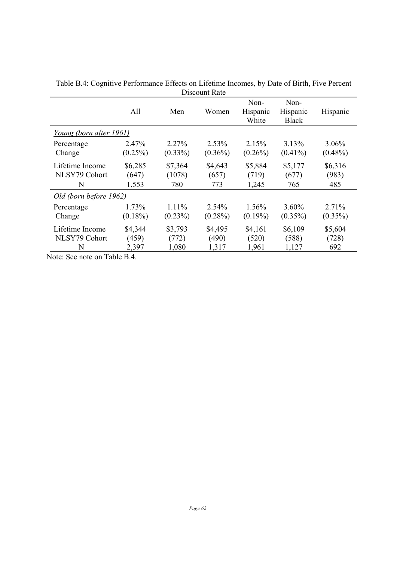|                         | All        | Men        | Women      | Non-<br>Hispanic<br>White | Non-<br>Hispanic<br><b>Black</b> | Hispanic   |
|-------------------------|------------|------------|------------|---------------------------|----------------------------------|------------|
| Young (born after 1961) |            |            |            |                           |                                  |            |
| Percentage              | 2.47%      | 2.27%      | 2.53%      | 2.15%                     | $3.13\%$                         | $3.06\%$   |
| Change                  | $(0.25\%)$ | $(0.33\%)$ | $(0.36\%)$ | $(0.26\%)$                | $(0.41\%)$                       | $(0.48\%)$ |
| Lifetime Income         | \$6,285    | \$7,364    | \$4,643    | \$5,884                   | \$5,177                          | \$6,316    |
| NLSY79 Cohort           | (647)      | (1078)     | (657)      | (719)                     | (677)                            | (983)      |
| N                       | 1,553      | 780        | 773        | 1,245                     | 765                              | 485        |
| Old (born before 1962)  |            |            |            |                           |                                  |            |
| Percentage              | 1.73%      | $1.11\%$   | 2.54%      | 1.56%                     | $3.60\%$                         | 2.71%      |
| Change                  | $(0.18\%)$ | $(0.23\%)$ | $(0.28\%)$ | $(0.19\%)$                | $(0.35\%)$                       | $(0.35\%)$ |
| Lifetime Income         | \$4,344    | \$3,793    | \$4,495    | \$4,161                   | \$6,109                          | \$5,604    |
| NLSY79 Cohort           | (459)      | (772)      | (490)      | (520)                     | (588)                            | (728)      |
| N                       | 2,397      | 1,080      | 1,317      | 1,961                     | 1,127                            | 692        |

Table B.4: Cognitive Performance Effects on Lifetime Incomes, by Date of Birth, Five Percent Discount Rate

Note: See note on Table B.4.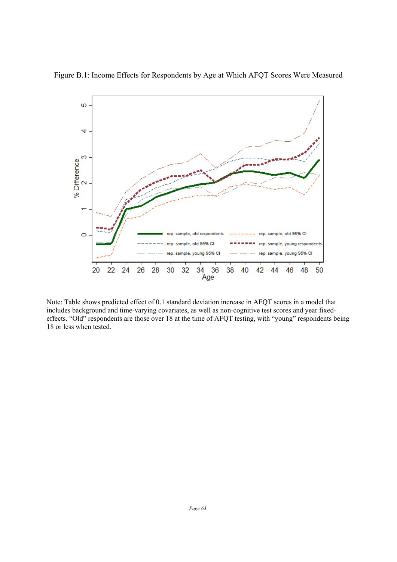

Figure B.1: Income Effects for Respondents by Age at Which AFQT Scores Were Measured

Note: Table shows predicted effect of 0.1 standard deviation increase in AFQT scores in a model that includes background and time-varying covariates, as well as non-cognitive test scores and year fixedeffects. "Old" respondents are those over 18 at the time of AFQT testing, with "young" respondents being 18 or less when tested.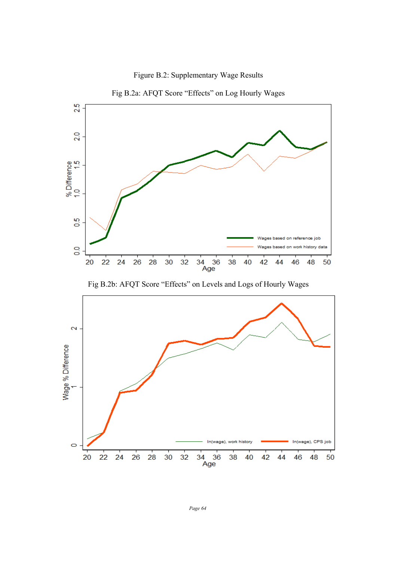

Figure B.2: Supplementary Wage Results